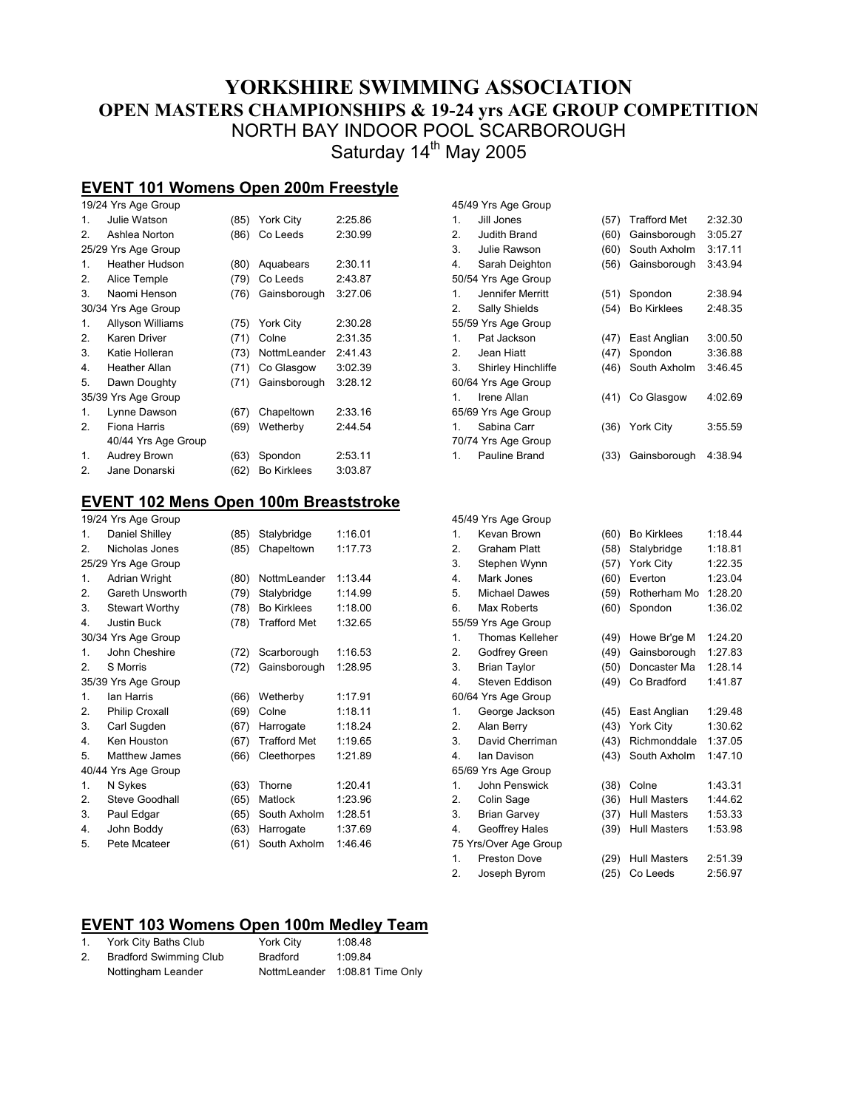# **YORKSHIRE SWIMMING ASSOCIATION OPEN MASTERS CHAMPIONSHIPS & 19-24 yrs AGE GROUP COMPETITION**  NORTH BAY INDOOR POOL SCARBOROUGH Saturday 14<sup>th</sup> May 2005

45/49 Yrs Age Group

# **EVENT 101 Womens Open 200m Freestyle**

|    | 19/24 Yrs Age Group   |      |                    |         |  |  |  |
|----|-----------------------|------|--------------------|---------|--|--|--|
| 1. | Julie Watson          | (85) | York City          | 2:25.86 |  |  |  |
| 2. | Ashlea Norton         | (86) | Co Leeds           | 2:30.99 |  |  |  |
|    | 25/29 Yrs Age Group   |      |                    |         |  |  |  |
| 1. | <b>Heather Hudson</b> | (80) | Aquabears          | 2:30.11 |  |  |  |
| 2. | Alice Temple          | (79) | Co Leeds           | 2:43.87 |  |  |  |
| 3. | Naomi Henson          | (76) | Gainsborough       | 3:27.06 |  |  |  |
|    | 30/34 Yrs Age Group   |      |                    |         |  |  |  |
| 1. | Allyson Williams      | (75) | York City          | 2:30.28 |  |  |  |
| 2. | Karen Driver          | (71) | Colne              | 2:31.35 |  |  |  |
| 3. | Katie Holleran        | (73) | NottmLeander       | 2:41.43 |  |  |  |
| 4. | <b>Heather Allan</b>  | (71) | Co Glasgow         | 3:02.39 |  |  |  |
| 5. | Dawn Doughty          | (71) | Gainsborough       | 3:28.12 |  |  |  |
|    | 35/39 Yrs Age Group   |      |                    |         |  |  |  |
| 1. | Lynne Dawson          | (67) | Chapeltown         | 2:33.16 |  |  |  |
| 2. | Fiona Harris          | (69) | Wetherby           | 2:44.54 |  |  |  |
|    | 40/44 Yrs Age Group   |      |                    |         |  |  |  |
| 1. | Audrey Brown          | (63) | Spondon            | 2:53.11 |  |  |  |
| 2. | Jane Donarski         | (62) | <b>Bo Kirklees</b> | 3:03.87 |  |  |  |
|    |                       |      |                    |         |  |  |  |

#### **EVENT 102 Mens Open 100m Breaststroke**

|                | 19/24 Yrs Age Group   |      |                     |         |
|----------------|-----------------------|------|---------------------|---------|
| 1.             | Daniel Shilley        | (85) | Stalybridge         | 1:16.01 |
| 2.             | Nicholas Jones        | (85) | Chapeltown          | 1:17.73 |
|                | 25/29 Yrs Age Group   |      |                     |         |
| 1.             | <b>Adrian Wright</b>  | (80) | NottmLeander        | 1:13.44 |
| 2.             | Gareth Unsworth       | (79) | Stalybridge         | 1:14.99 |
| 3.             | <b>Stewart Worthy</b> | (78) | <b>Bo Kirklees</b>  | 1:18.00 |
| 4.             | <b>Justin Buck</b>    | (78) | <b>Trafford Met</b> | 1:32.65 |
|                | 30/34 Yrs Age Group   |      |                     |         |
| $\mathbf{1}$ . | John Cheshire         | (72) | Scarborough         | 1:16.53 |
| 2.             | S Morris              | (72) | Gainsborough        | 1:28.95 |
|                | 35/39 Yrs Age Group   |      |                     |         |
| 1.             | lan Harris            | (66) | Wetherby            | 1:17.91 |
| 2.             | Philip Croxall        | (69) | Colne               | 1:18.11 |
| 3.             | Carl Sugden           | (67) | Harrogate           | 1:18.24 |
| 4.             | Ken Houston           | (67) | <b>Trafford Met</b> | 1:19.65 |
| 5.             | Matthew James         | (66) | Cleethorpes         | 1:21.89 |
|                | 40/44 Yrs Age Group   |      |                     |         |
| 1.             | N Sykes               | (63) | Thorne              | 1:20.41 |
| 2.             | Steve Goodhall        | (65) | Matlock             | 1:23.96 |
| 3.             | Paul Edgar            | (65) | South Axholm        | 1:28.51 |
| 4.             | John Boddy            | (63) | Harrogate           | 1:37.69 |
| 5.             | Pete Mcateer          | (61) | South Axholm        | 1:46.46 |
|                |                       |      |                     |         |

| 1.               | Jill Jones           | (57) | <b>Trafford Met</b> | 2:32.30 |
|------------------|----------------------|------|---------------------|---------|
| 2.               | Judith Brand         | (60) | Gainsborough        | 3:05.27 |
| 3.               | Julie Rawson         | (60) | South Axholm        | 3:17.11 |
| 4.               | Sarah Deighton       | (56) | Gainsborough        | 3:43.94 |
|                  | 50/54 Yrs Age Group  |      |                     |         |
| 1.               | Jennifer Merritt     | (51) | Spondon             | 2:38.94 |
| 2.               | Sally Shields        | (54) | <b>Bo Kirklees</b>  | 2:48.35 |
|                  | 55/59 Yrs Age Group  |      |                     |         |
| 1.               | Pat Jackson          | (47) | East Anglian        | 3:00.50 |
| 2.               | Jean Hiatt           | (47) | Spondon             | 3:36.88 |
| 3.               | Shirley Hinchliffe   | (46) | South Axholm        | 3:46.45 |
|                  | 60/64 Yrs Age Group  |      |                     |         |
| 1.               | Irene Allan          | (41) | Co Glasgow          | 4:02.69 |
|                  | 65/69 Yrs Age Group  |      |                     |         |
| 1.               | Sabina Carr          | (36) | York City           | 3:55.59 |
|                  | 70/74 Yrs Age Group  |      |                     |         |
| 1.               | Pauline Brand        | (33) | Gainsborough        | 4:38.94 |
|                  |                      |      |                     |         |
|                  |                      |      |                     |         |
|                  |                      |      |                     |         |
|                  | 45/49 Yrs Age Group  |      |                     |         |
| 1.               | Kevan Brown          | (60) | <b>Bo Kirklees</b>  | 1:18.44 |
| $\overline{2}$ . | <b>Graham Platt</b>  | (58) | Stalybridge         | 1:18.81 |
| 3.               | Stephen Wynn         | (57) | York City           | 1:22.35 |
| 4.               | Mark Jones           | (60) | Everton             | 1:23.04 |
| 5.               | <b>Michael Dawes</b> | (59) | Rotherham Mo        | 1:28.20 |
| 6.               | Max Roberts          | (60) | Spondon             | 1:36.02 |
|                  | 55/59 Yrs Age Group  |      |                     |         |
| 1.               | Thomas Kelleher      | (49) | Howe Br'ge M        | 1:24.20 |
| 2.               | Godfrey Green        | (49) | Gainsborough        | 1:27.83 |
| 3.               | <b>Brian Taylor</b>  | (50) | Doncaster Ma        | 1:28.14 |
| 4.               | Steven Eddison       | (49) | Co Bradford         | 1:41.87 |
|                  | 60/64 Yrs Age Group  |      |                     |         |
| 1.               | George Jackson       | (45) | East Anglian        | 1:29.48 |
| 2.               | Alan Berry           | (43) | York City           | 1:30.62 |
| 3.               | David Cherriman      | (43) | Richmonddale        | 1:37.05 |
| 4.               | lan Davison          | (43) | South Axholm        | 1:47.10 |
|                  | 65/69 Yrs Age Group  |      |                     |         |
| 1.               | John Penswick        | (38) | Colne               | 1:43.31 |

|    | <b>UUIIIII UIJWIU</b> N | טוויטט וטטו       | 1.70.01 |
|----|-------------------------|-------------------|---------|
| 2. | Colin Sage              | (36) Hull Masters | 1:44.62 |
| 3. | <b>Brian Garvey</b>     | (37) Hull Masters | 1:53.33 |
|    | 4. Geoffrey Hales       | (39) Hull Masters | 1:53.98 |
|    | 75 Yrs/Over Age Group   |                   |         |
|    | 1. Preston Dove         | (29) Hull Masters | 2:51.39 |

2. Joseph Byrom (25) Co Leeds 2:56.97

### **EVENT 103 Womens Open 100m Medley Team**

| 1. | York City Baths Club          | York City | 1:08.48                        |
|----|-------------------------------|-----------|--------------------------------|
| 2. | <b>Bradford Swimming Club</b> | Bradford  | 1:09.84                        |
|    | Nottingham Leander            |           | NottmLeander 1:08.81 Time Only |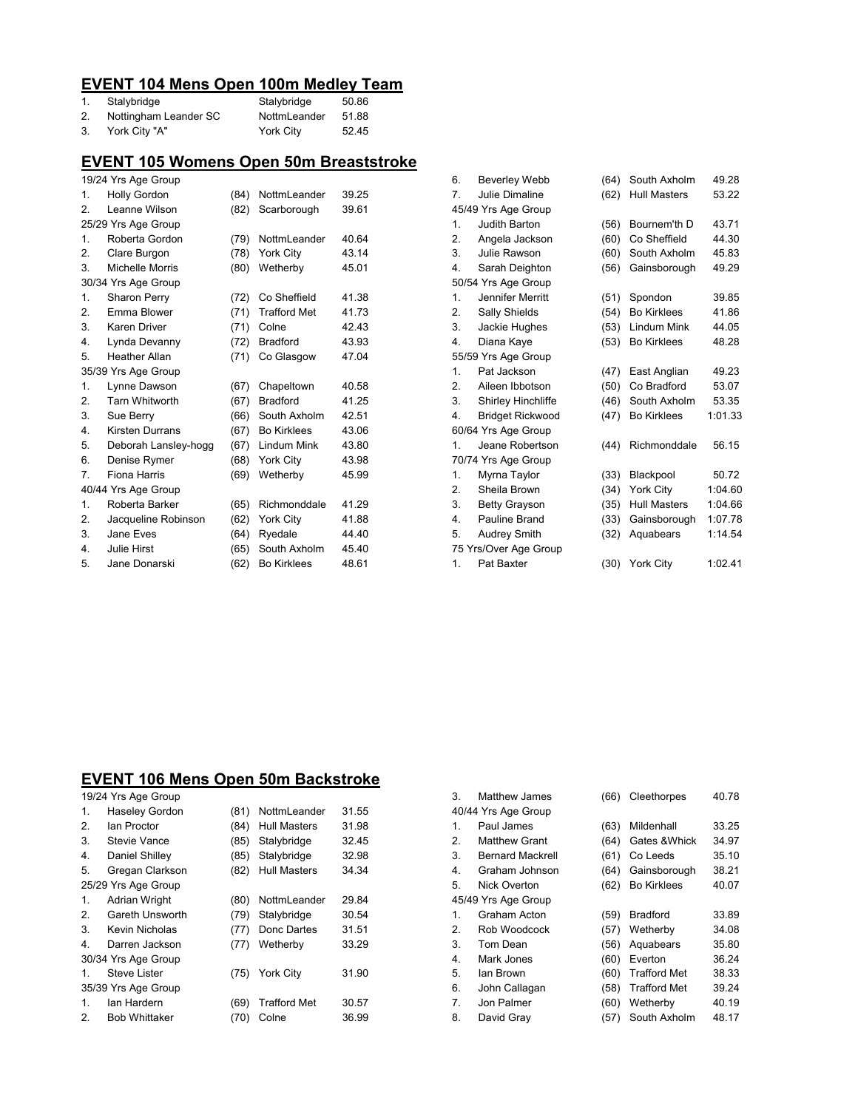### **EVENT 104 Mens Open 100m Medley Team**

|    | Stalybridge           | Stalybridge  | 50.86 |
|----|-----------------------|--------------|-------|
| 2. | Nottingham Leander SC | NottmLeander | 51.88 |
|    | York City "A"         | York City    | 52.45 |

## **EVENT 105 Womens Open 50m Breaststroke**

|                  | 19/24 Yrs Age Group    |      |                     |       |  |  |
|------------------|------------------------|------|---------------------|-------|--|--|
| 1.               | <b>Holly Gordon</b>    | (84) | NottmLeander        | 39.25 |  |  |
| 2.               | Leanne Wilson          | (82) | Scarborough         | 39.61 |  |  |
|                  | 25/29 Yrs Age Group    |      |                     |       |  |  |
| 1.               | Roberta Gordon         | (79) | NottmLeander        | 40.64 |  |  |
| 2.               | Clare Burgon           | (78) | York City           | 43.14 |  |  |
| 3.               | Michelle Morris        | (80) | Wetherby            | 45.01 |  |  |
|                  | 30/34 Yrs Age Group    |      |                     |       |  |  |
| 1.               | <b>Sharon Perry</b>    | (72) | Co Sheffield        | 41.38 |  |  |
| 2.               | Emma Blower            | (71) | <b>Trafford Met</b> | 41.73 |  |  |
| 3.               | <b>Karen Driver</b>    | (71) | Colne               | 42.43 |  |  |
| 4.               | Lynda Devanny          | (72) | <b>Bradford</b>     | 43.93 |  |  |
| 5.               | <b>Heather Allan</b>   | (71) | Co Glasgow          | 47.04 |  |  |
|                  | 35/39 Yrs Age Group    |      |                     |       |  |  |
| $\mathbf{1}$ .   | Lynne Dawson           | (67) | Chapeltown          | 40.58 |  |  |
| 2.               | <b>Tarn Whitworth</b>  | (67) | <b>Bradford</b>     | 41.25 |  |  |
| 3.               | Sue Berry              | (66) | South Axholm        | 42.51 |  |  |
| $\overline{4}$ . | <b>Kirsten Durrans</b> | (67) | <b>Bo Kirklees</b>  | 43.06 |  |  |
| 5.               | Deborah Lansley-hogg   | (67) | Lindum Mink         | 43.80 |  |  |
| 6.               | Denise Rymer           | (68) | York City           | 43.98 |  |  |
| 7.               | Fiona Harris           | (69) | Wetherby            | 45.99 |  |  |
|                  | 40/44 Yrs Age Group    |      |                     |       |  |  |
| 1.               | Roberta Barker         | (65) | Richmonddale        | 41.29 |  |  |
| 2.               | Jacqueline Robinson    | (62) | York City           | 41.88 |  |  |
| 3.               | Jane Eves              | (64) | Ryedale             | 44.40 |  |  |
| 4.               | <b>Julie Hirst</b>     | (65) | South Axholm        | 45.40 |  |  |
| 5.               | Jane Donarski          | (62) | <b>Bo Kirklees</b>  | 48.61 |  |  |
|                  |                        |      |                     |       |  |  |

| 6. | <b>Beverley Webb</b>      | (64) | South Axholm        | 49.28   |
|----|---------------------------|------|---------------------|---------|
| 7. | Julie Dimaline            | (62) | <b>Hull Masters</b> | 53.22   |
|    | 45/49 Yrs Age Group       |      |                     |         |
| 1. | Judith Barton             | (56) | Bournem'th D        | 43.71   |
| 2. | Angela Jackson            | (60) | Co Sheffield        | 44.30   |
| 3. | Julie Rawson              | (60) | South Axholm        | 45.83   |
| 4. | Sarah Deighton            | (56) | Gainsborough        | 49.29   |
|    | 50/54 Yrs Age Group       |      |                     |         |
| 1. | Jennifer Merritt          | (51) | Spondon             | 39.85   |
| 2. | Sally Shields             | (54) | <b>Bo Kirklees</b>  | 41.86   |
| 3. | Jackie Hughes             | (53) | Lindum Mink         | 44.05   |
| 4. | Diana Kaye                | (53) | <b>Bo Kirklees</b>  | 48.28   |
|    | 55/59 Yrs Age Group       |      |                     |         |
| 1. | Pat Jackson               | (47) | East Anglian        | 49.23   |
| 2. | Aileen Ibbotson           | (50) | Co Bradford         | 53.07   |
| 3. | <b>Shirley Hinchliffe</b> | (46) | South Axholm        | 53.35   |
| 4. | Bridget Rickwood          | (47) | <b>Bo Kirklees</b>  | 1:01.33 |
|    | 60/64 Yrs Age Group       |      |                     |         |
| 1. | Jeane Robertson           | (44) | Richmonddale        | 56.15   |
|    | 70/74 Yrs Age Group       |      |                     |         |
| 1. | Myrna Taylor              | (33) | Blackpool           | 50.72   |
| 2. | Sheila Brown              | (34) | York City           | 1:04.60 |
| 3. | <b>Betty Grayson</b>      | (35) | <b>Hull Masters</b> | 1:04.66 |
| 4. | Pauline Brand             | (33) | Gainsborough        | 1:07.78 |
| 5. | <b>Audrey Smith</b>       | (32) | Aquabears           | 1:14.54 |
|    | 75 Yrs/Over Age Group     |      |                     |         |
| 1. | Pat Baxter                | (30) | York City           | 1:02.41 |

#### **EVENT 106 Mens Open 50m Backstroke**

|                | 19/24 Yrs Age Group   |      |                     |       |
|----------------|-----------------------|------|---------------------|-------|
| 1.             | <b>Haseley Gordon</b> | (81) | NottmLeander        | 31.55 |
| 2.             | lan Proctor           | (84) | <b>Hull Masters</b> | 31.98 |
| 3.             | Stevie Vance          | (85) | Stalybridge         | 32.45 |
| 4.             | Daniel Shilley        | (85) | Stalybridge         | 32.98 |
| 5.             | Gregan Clarkson       | (82) | <b>Hull Masters</b> | 34.34 |
|                | 25/29 Yrs Age Group   |      |                     |       |
| $\mathbf{1}$ . | <b>Adrian Wright</b>  | (80) | NottmLeander        | 29.84 |
| 2.             | Gareth Unsworth       | (79) | Stalybridge         | 30.54 |
| 3.             | Kevin Nicholas        | (77) | Donc Dartes         | 31.51 |
| 4.             | Darren Jackson        | (77) | Wetherby            | 33.29 |
|                | 30/34 Yrs Age Group   |      |                     |       |
| 1.             | Steve Lister          | (75) | <b>York City</b>    | 31.90 |
|                | 35/39 Yrs Age Group   |      |                     |       |
| 1.             | lan Hardern           | (69) | <b>Trafford Met</b> | 30.57 |
| 2.             | <b>Bob Whittaker</b>  | (70) | Colne               | 36.99 |

| 3.             | <b>Matthew James</b>    | (66) | Cleethorpes         | 40.78 |
|----------------|-------------------------|------|---------------------|-------|
|                | 40/44 Yrs Age Group     |      |                     |       |
| $\mathbf{1}$ . | Paul James              | (63) | Mildenhall          | 33.25 |
| 2.             | <b>Matthew Grant</b>    | (64) | Gates & Whick       | 34.97 |
| 3.             | <b>Bernard Mackrell</b> | (61) | Co Leeds            | 35.10 |
| 4.             | Graham Johnson          | (64) | Gainsborough        | 38.21 |
| 5.             | Nick Overton            | (62) | <b>Bo Kirklees</b>  | 40.07 |
|                | 45/49 Yrs Age Group     |      |                     |       |
| $\mathbf{1}$ . | Graham Acton            | (59) | <b>Bradford</b>     | 33.89 |
| 2.             | Rob Woodcock            | (57) | Wetherby            | 34.08 |
| 3.             | Tom Dean                | (56) | Aquabears           | 35.80 |
| 4.             | Mark Jones              | (60) | Everton             | 36.24 |
| 5.             | lan Brown               | (60) | <b>Trafford Met</b> | 38.33 |
| 6.             | John Callagan           | (58) | <b>Trafford Met</b> | 39.24 |
| 7.             | Jon Palmer              | (60) | Wetherby            | 40.19 |
| 8.             | David Gray              | (57) | South Axholm        | 48.17 |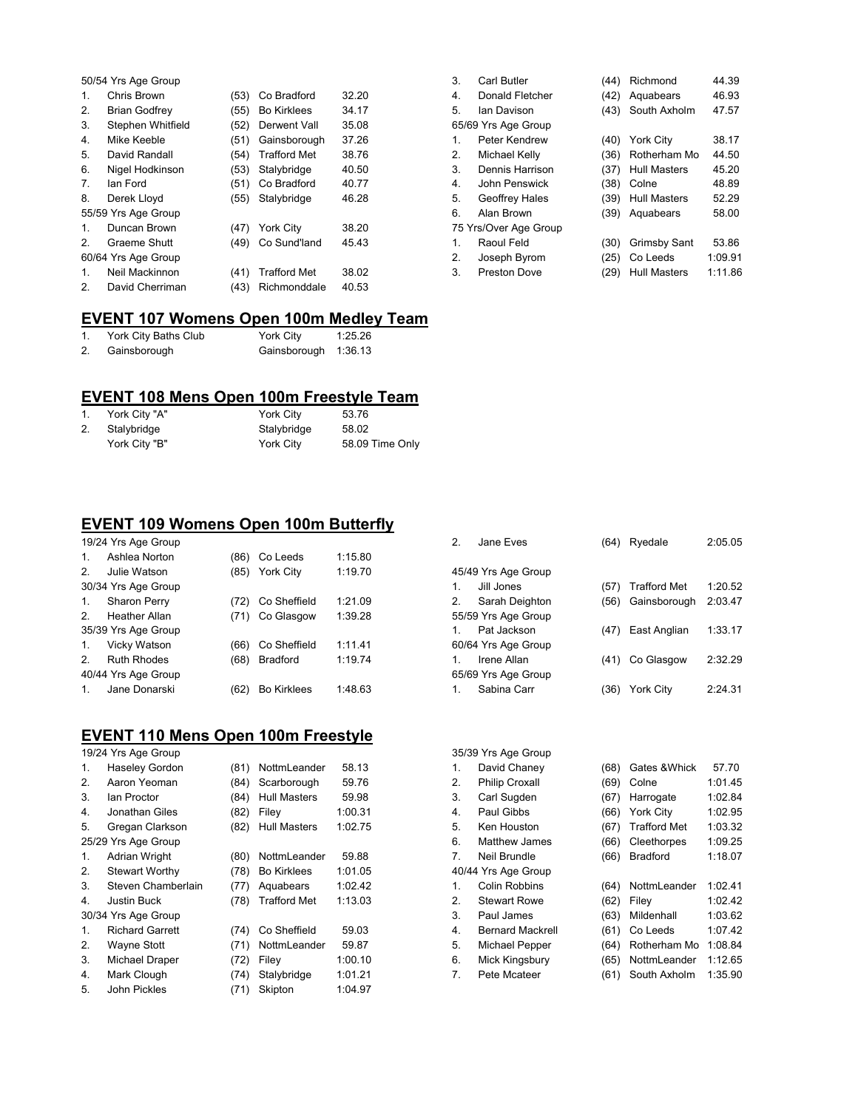|               | 50/54 Yrs Age Group  |      |                     |       |  |  |
|---------------|----------------------|------|---------------------|-------|--|--|
| 1.            | Chris Brown          | (53) | Co Bradford         | 32.20 |  |  |
| 2.            | <b>Brian Godfrey</b> | (55) | <b>Bo Kirklees</b>  | 34.17 |  |  |
| 3.            | Stephen Whitfield    | (52) | Derwent Vall        | 35.08 |  |  |
| 4.            | Mike Keeble          | (51) | Gainsborough        | 37.26 |  |  |
| 5.            | David Randall        | (54) | <b>Trafford Met</b> | 38.76 |  |  |
| 6.            | Nigel Hodkinson      | (53) | Stalybridge         | 40.50 |  |  |
| 7.            | lan Ford             | (51) | Co Bradford         | 40.77 |  |  |
| 8.            | Derek Lloyd          | (55) | Stalybridge         | 46.28 |  |  |
|               | 55/59 Yrs Age Group  |      |                     |       |  |  |
| 1.            | Duncan Brown         | (47) | <b>York City</b>    | 38.20 |  |  |
| $\mathcal{P}$ | Graeme Shutt         | (49) | Co Sund'land        | 45.43 |  |  |
|               | 60/64 Yrs Age Group  |      |                     |       |  |  |
| 1.            | Neil Mackinnon       | (41) | <b>Trafford Met</b> | 38.02 |  |  |
| 2.            | David Cherriman      | (43) | Richmonddale        | 40.53 |  |  |

| 3. | Carl Butler           | (44) | Richmond            | 44.39   |
|----|-----------------------|------|---------------------|---------|
| 4. | Donald Fletcher       | (42) | Aquabears           | 46.93   |
| 5. | lan Davison           | (43) | South Axholm        | 47.57   |
|    | 65/69 Yrs Age Group   |      |                     |         |
| 1. | Peter Kendrew         | (40) | <b>York City</b>    | 38.17   |
| 2. | Michael Kelly         | (36) | Rotherham Mo        | 44.50   |
| 3. | Dennis Harrison       | (37) | <b>Hull Masters</b> | 45.20   |
| 4. | John Penswick         | (38) | Colne               | 48.89   |
| 5. | Geoffrey Hales        | (39) | <b>Hull Masters</b> | 52.29   |
| 6. | Alan Brown            | (39) | Aquabears           | 58.00   |
|    | 75 Yrs/Over Age Group |      |                     |         |
| 1. | Raoul Feld            | (30) | Grimsby Sant        | 53.86   |
| 2. | Joseph Byrom          | (25) | Co Leeds            | 1:09.91 |
| 3. | Preston Dove          | (29) | <b>Hull Masters</b> | 1:11.86 |

# **EVENT 107 Womens Open 100m Medley Team**

|    | York City Baths Club | York City            | 1:25.26 |
|----|----------------------|----------------------|---------|
| 2. | Gainsborough         | Gainsborough 1:36.13 |         |

### **EVENT 108 Mens Open 100m Freestyle Team**

|    | York City "A" | York City   | 53.76           |
|----|---------------|-------------|-----------------|
| 2. | Stalybridge   | Stalybridge | 58.02           |
|    | York City "B" | York City   | 58.09 Time Only |

### **EVENT 109 Womens Open 100m Butterfly**

|                | 19/24 Yrs Age Group  |      |                    |         |  |  |  |
|----------------|----------------------|------|--------------------|---------|--|--|--|
| 1.             | Ashlea Norton        | (86) | Co Leeds           | 1:15.80 |  |  |  |
| 2.             | Julie Watson         | (85) | <b>York City</b>   | 1:19.70 |  |  |  |
|                | 30/34 Yrs Age Group  |      |                    |         |  |  |  |
| 1.             | Sharon Perry         | (72) | Co Sheffield       | 1:21.09 |  |  |  |
| $\mathcal{P}$  | <b>Heather Allan</b> | (71) | Co Glasgow         | 1:39.28 |  |  |  |
|                | 35/39 Yrs Age Group  |      |                    |         |  |  |  |
| 1.             | Vicky Watson         | (66) | Co Sheffield       | 1:11.41 |  |  |  |
| 2 <sub>1</sub> | <b>Ruth Rhodes</b>   | (68) | <b>Bradford</b>    | 1:19.74 |  |  |  |
|                | 40/44 Yrs Age Group  |      |                    |         |  |  |  |
| $\mathbf{1}$ . | Jane Donarski        |      | <b>Bo Kirklees</b> | 1:48.63 |  |  |  |
|                |                      |      |                    |         |  |  |  |

## **EVENT 110 Mens Open 100m Freestyle**

|                     | 19/24 Yrs Age Group    |      |                     |         |  |  |
|---------------------|------------------------|------|---------------------|---------|--|--|
| 1.                  | Haseley Gordon         | (81) | NottmLeander        | 58.13   |  |  |
| 2.                  | Aaron Yeoman           | (84) | Scarborough         | 59.76   |  |  |
| 3.                  | lan Proctor            | (84) | <b>Hull Masters</b> | 59.98   |  |  |
| 4.                  | Jonathan Giles         | (82) | Filev               | 1:00.31 |  |  |
| 5.                  | Gregan Clarkson        | (82) | <b>Hull Masters</b> | 1:02.75 |  |  |
| 25/29 Yrs Age Group |                        |      |                     |         |  |  |
| 1.                  | <b>Adrian Wright</b>   | (80) | NottmLeander        | 59.88   |  |  |
| 2.                  | <b>Stewart Worthy</b>  | (78) | <b>Bo Kirklees</b>  | 1:01.05 |  |  |
| 3.                  | Steven Chamberlain     | (77) | Aquabears           | 1:02.42 |  |  |
| 4.                  | Justin Buck            | (78) | <b>Trafford Met</b> | 1:13.03 |  |  |
|                     | 30/34 Yrs Age Group    |      |                     |         |  |  |
| $\mathbf{1}$ .      | <b>Richard Garrett</b> | (74) | Co Sheffield        | 59.03   |  |  |
| 2.                  | Wayne Stott            | (71) | NottmLeander        | 59.87   |  |  |
| 3.                  | Michael Draper         | (72) | Filey               | 1:00.10 |  |  |
| 4.                  | Mark Clough            | (74) | Stalybridge         | 1:01.21 |  |  |
| 5.                  | John Pickles           | (71) | Skipton             | 1:04.97 |  |  |
|                     |                        |      |                     |         |  |  |

| $\mathcal{P}$       | Jane Eves           | (64) | Ryedale             | 2:05.05 |  |
|---------------------|---------------------|------|---------------------|---------|--|
| 45/49 Yrs Age Group |                     |      |                     |         |  |
| 1.                  | Jill Jones          | (57) | <b>Trafford Met</b> | 1:20.52 |  |
| 2.                  | Sarah Deighton      | (56) | Gainsborough        | 2:03.47 |  |
|                     | 55/59 Yrs Age Group |      |                     |         |  |
| 1                   | Pat Jackson         |      | (47) East Anglian   | 1:33.17 |  |
|                     | 60/64 Yrs Age Group |      |                     |         |  |
| 1                   | Irene Allan         |      | (41) Co Glasgow     | 2:32.29 |  |
|                     | 65/69 Yrs Age Group |      |                     |         |  |
| 1.                  | Sabina Carr         | (36) | York City           | 2:24.31 |  |
|                     |                     |      |                     |         |  |

|                     | 35/39 Yrs Age Group     |      |                     |         |  |  |
|---------------------|-------------------------|------|---------------------|---------|--|--|
| 1.                  | David Chaney            | (68) | Gates & Whick       | 57.70   |  |  |
| 2.                  | <b>Philip Croxall</b>   | (69) | Colne               | 1:01.45 |  |  |
| 3.                  | Carl Sugden             | (67) | Harrogate           | 1:02.84 |  |  |
| 4.                  | Paul Gibbs              | (66) | York City           | 1:02.95 |  |  |
| 5.                  | Ken Houston             | (67) | <b>Trafford Met</b> | 1:03.32 |  |  |
| 6.                  | <b>Matthew James</b>    | (66) | Cleethorpes         | 1:09.25 |  |  |
| 7.                  | Neil Brundle            | (66) | <b>Bradford</b>     | 1:18.07 |  |  |
| 40/44 Yrs Age Group |                         |      |                     |         |  |  |
| 1.                  | Colin Robbins           | (64) | NottmLeander        | 1:02.41 |  |  |
| 2.                  | <b>Stewart Rowe</b>     | (62) | Filey               | 1:02.42 |  |  |
| 3.                  | Paul James              | (63) | Mildenhall          | 1:03.62 |  |  |
| 4.                  | <b>Bernard Mackrell</b> | (61) | Co Leeds            | 1:07.42 |  |  |
| 5.                  | Michael Pepper          | (64) | Rotherham Mo        | 1:08.84 |  |  |
| 6.                  | Mick Kingsbury          | (65) | NottmLeander        | 1:12.65 |  |  |
| 7.                  | Pete Mcateer            | (61) | South Axholm        | 1:35.90 |  |  |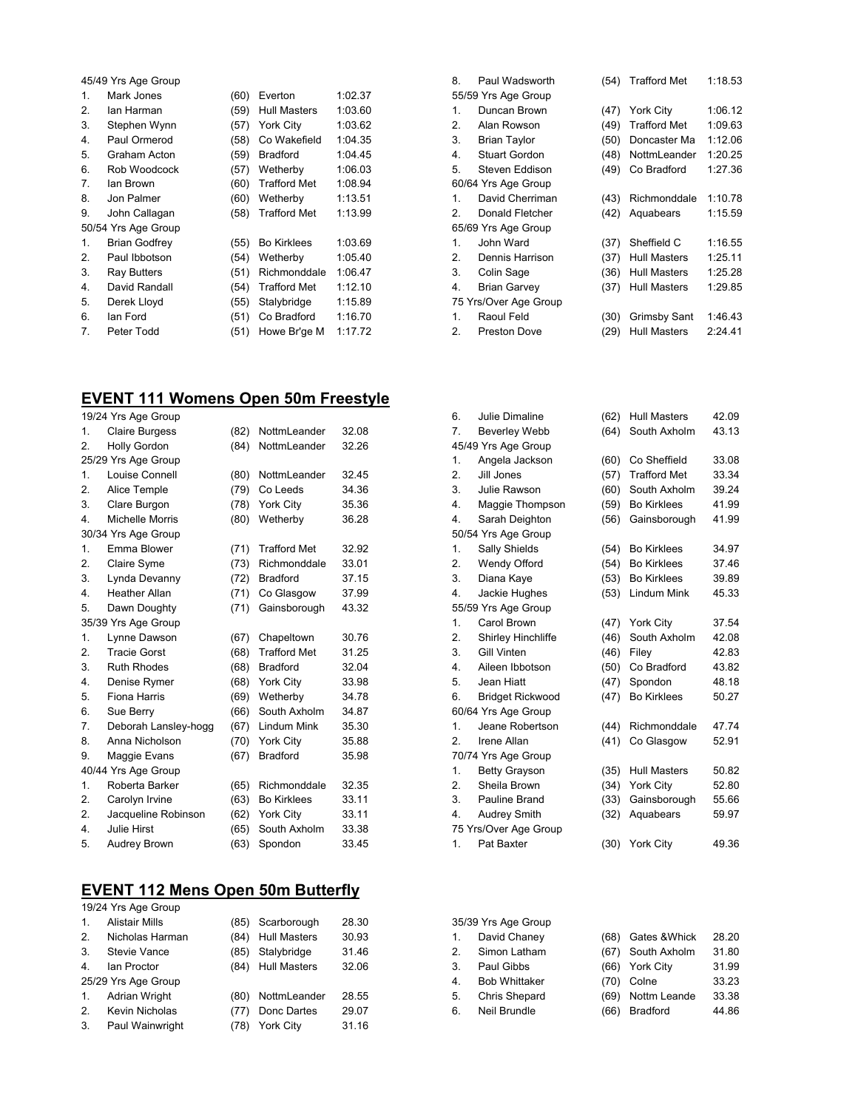|    | 45/49 Yrs Age Group  |      |                     |         |  |  |
|----|----------------------|------|---------------------|---------|--|--|
| 1. | Mark Jones           | (60) | Everton             | 1:02.37 |  |  |
| 2. | lan Harman           | (59) | <b>Hull Masters</b> | 1:03.60 |  |  |
| 3. | Stephen Wynn         | (57) | York City           | 1:03.62 |  |  |
| 4. | Paul Ormerod         | (58) | Co Wakefield        | 1:04.35 |  |  |
| 5. | Graham Acton         | (59) | <b>Bradford</b>     | 1:04.45 |  |  |
| 6. | Rob Woodcock         | (57) | Wetherby            | 1:06.03 |  |  |
| 7. | lan Brown            | (60) | <b>Trafford Met</b> | 1:08.94 |  |  |
| 8. | Jon Palmer           | (60) | Wetherby            | 1:13.51 |  |  |
| 9. | John Callagan        | (58) | <b>Trafford Met</b> | 1:13.99 |  |  |
|    | 50/54 Yrs Age Group  |      |                     |         |  |  |
| 1. | <b>Brian Godfrey</b> | (55) | <b>Bo Kirklees</b>  | 1:03.69 |  |  |
| 2. | Paul Ibbotson        | (54) | Wetherby            | 1:05.40 |  |  |
| 3. | <b>Ray Butters</b>   | (51) | Richmonddale        | 1:06.47 |  |  |
| 4. | David Randall        | (54) | <b>Trafford Met</b> | 1:12.10 |  |  |
| 5. | Derek Lloyd          | (55) | Stalybridge         | 1:15.89 |  |  |
| 6. | lan Ford             | (51) | Co Bradford         | 1:16.70 |  |  |
| 7. | Peter Todd           | (51) | Howe Br'ge M        | 1:17.72 |  |  |

# **EVENT 111 Womens Open 50m Freestyle**

|                  | 19/24 Yrs Age Group   |      |                     |       |  |  |
|------------------|-----------------------|------|---------------------|-------|--|--|
| 1.               | <b>Claire Burgess</b> | (82) | NottmLeander        | 32.08 |  |  |
| 2.               | <b>Holly Gordon</b>   | (84) | NottmLeander        | 32.26 |  |  |
|                  | 25/29 Yrs Age Group   |      |                     |       |  |  |
| 1.               | Louise Connell        | (80) | NottmLeander        | 32.45 |  |  |
| 2.               | Alice Temple          | (79) | Co Leeds            | 34.36 |  |  |
| 3.               | Clare Burgon          | (78) | York City           | 35.36 |  |  |
| $\overline{4}$ . | Michelle Morris       | (80) | Wetherby            | 36.28 |  |  |
|                  | 30/34 Yrs Age Group   |      |                     |       |  |  |
| 1.               | Emma Blower           | (71) | <b>Trafford Met</b> | 32.92 |  |  |
| 2.               | Claire Syme           | (73) | Richmonddale        | 33.01 |  |  |
| 3.               | Lynda Devanny         | (72) | <b>Bradford</b>     | 37.15 |  |  |
| 4.               | <b>Heather Allan</b>  | (71) | Co Glasgow          | 37.99 |  |  |
| 5.               | Dawn Doughty          | (71) | Gainsborough        | 43.32 |  |  |
|                  | 35/39 Yrs Age Group   |      |                     |       |  |  |
| 1.               | Lynne Dawson          | (67) | Chapeltown          | 30.76 |  |  |
| 2.               | <b>Tracie Gorst</b>   | (68) | <b>Trafford Met</b> | 31.25 |  |  |
| 3.               | <b>Ruth Rhodes</b>    | (68) | <b>Bradford</b>     | 32.04 |  |  |
| $\overline{4}$ . | Denise Rymer          | (68) | York City           | 33.98 |  |  |
| 5.               | <b>Fiona Harris</b>   | (69) | Wetherby            | 34.78 |  |  |
| 6.               | Sue Berry             | (66) | South Axholm        | 34.87 |  |  |
| 7.               | Deborah Lansley-hogg  | (67) | <b>Lindum Mink</b>  | 35.30 |  |  |
| 8.               | Anna Nicholson        | (70) | York City           | 35.88 |  |  |
| 9.               | Maggie Evans          | (67) | <b>Bradford</b>     | 35.98 |  |  |
|                  | 40/44 Yrs Age Group   |      |                     |       |  |  |
| 1.               | Roberta Barker        | (65) | Richmonddale        | 32.35 |  |  |
| 2.               | Carolyn Irvine        | (63) | <b>Bo Kirklees</b>  | 33.11 |  |  |
| 2.               | Jacqueline Robinson   | (62) | York City           | 33.11 |  |  |
| 4                | Julie Hirst           | (65) | South Axholm        | 33.38 |  |  |
| 5.               | Audrey Brown          | (63) | Spondon             | 33.45 |  |  |

# **EVENT 112 Mens Open 50m Butterfly**

|                     | 19/24 Yrs Age Group  |      |                     |       |  |  |
|---------------------|----------------------|------|---------------------|-------|--|--|
| $\mathbf{1}$ .      | Alistair Mills       | (85) | Scarborough         | 28.30 |  |  |
| 2.                  | Nicholas Harman      | (84) | <b>Hull Masters</b> | 30.93 |  |  |
| 3.                  | <b>Stevie Vance</b>  | (85) | Stalybridge         | 31.46 |  |  |
| 4                   | Ian Proctor          | (84) | <b>Hull Masters</b> | 32.06 |  |  |
| 25/29 Yrs Age Group |                      |      |                     |       |  |  |
| 1.                  | <b>Adrian Wright</b> | (80) | NottmLeander        | 28.55 |  |  |
| 2.                  | Kevin Nicholas       | (77) | Donc Dartes         | 29.07 |  |  |
| 3.                  | Paul Wainwright      | (78) | <b>York City</b>    | 31.16 |  |  |
|                     |                      |      |                     |       |  |  |

| 8. | Paul Wadsworth        | (54) | <b>Trafford Met</b> | 1:18.53 |
|----|-----------------------|------|---------------------|---------|
|    | 55/59 Yrs Age Group   |      |                     |         |
| 1. | Duncan Brown          | (47) | <b>York City</b>    | 1:06.12 |
| 2. | Alan Rowson           | (49) | <b>Trafford Met</b> | 1:09.63 |
| 3. | <b>Brian Taylor</b>   | (50) | Doncaster Ma        | 1:12.06 |
| 4. | <b>Stuart Gordon</b>  | (48) | NottmLeander        | 1:20.25 |
| 5. | Steven Eddison        | (49) | Co Bradford         | 1:27.36 |
|    | 60/64 Yrs Age Group   |      |                     |         |
| 1. | David Cherriman       | (43) | Richmonddale        | 1:10.78 |
| 2. | Donald Fletcher       | (42) | Aquabears           | 1:15.59 |
|    | 65/69 Yrs Age Group   |      |                     |         |
| 1. | John Ward             | (37) | Sheffield C         | 1:16.55 |
| 2. | Dennis Harrison       | (37) | <b>Hull Masters</b> | 1:25.11 |
| 3. | Colin Sage            | (36) | <b>Hull Masters</b> | 1:25.28 |
| 4. | <b>Brian Garvey</b>   | (37) | <b>Hull Masters</b> | 1:29.85 |
|    | 75 Yrs/Over Age Group |      |                     |         |
| 1. | Raoul Feld            | (30) | Grimsby Sant        | 1:46.43 |
| 2. | <b>Preston Dove</b>   | (29) | <b>Hull Masters</b> | 2:24.41 |

| 6. | Julie Dimaline            | (62) | <b>Hull Masters</b> | 42.09 |
|----|---------------------------|------|---------------------|-------|
| 7. | <b>Beverley Webb</b>      | (64) | South Axholm        | 43.13 |
|    | 45/49 Yrs Age Group       |      |                     |       |
| 1. | Angela Jackson            | (60) | Co Sheffield        | 33.08 |
| 2. | Jill Jones                | (57) | <b>Trafford Met</b> | 33.34 |
| 3. | Julie Rawson              | (60) | South Axholm        | 39.24 |
| 4. | Maggie Thompson           | (59) | <b>Bo Kirklees</b>  | 41.99 |
| 4. | Sarah Deighton            | (56) | Gainsborough        | 41.99 |
|    | 50/54 Yrs Age Group       |      |                     |       |
| 1. | Sally Shields             | (54) | <b>Bo Kirklees</b>  | 34.97 |
| 2. | Wendy Offord              | (54) | <b>Bo Kirklees</b>  | 37.46 |
| 3. | Diana Kaye                | (53) | <b>Bo Kirklees</b>  | 39.89 |
| 4. | Jackie Hughes             | (53) | Lindum Mink         | 45.33 |
|    | 55/59 Yrs Age Group       |      |                     |       |
| 1. | Carol Brown               | (47) | York City           | 37.54 |
| 2. | <b>Shirley Hinchliffe</b> | (46) | South Axholm        | 42.08 |
| 3. | Gill Vinten               | (46) | Filey               | 42.83 |
| 4. | Aileen Ibbotson           | (50) | Co Bradford         | 43.82 |
| 5. | Jean Hiatt                | (47) | Spondon             | 48.18 |
| 6. | <b>Bridget Rickwood</b>   | (47) | <b>Bo Kirklees</b>  | 50.27 |
|    | 60/64 Yrs Age Group       |      |                     |       |
| 1. | Jeane Robertson           | (44) | Richmonddale        | 47.74 |
| 2. | Irene Allan               | (41) | Co Glasgow          | 52.91 |
|    | 70/74 Yrs Age Group       |      |                     |       |
| 1. | <b>Betty Grayson</b>      | (35) | <b>Hull Masters</b> | 50.82 |
| 2. | Sheila Brown              | (34) | York City           | 52.80 |
| 3. | Pauline Brand             | (33) | Gainsborough        | 55.66 |
| 4. | <b>Audrey Smith</b>       | (32) | Aquabears           | 59.97 |
|    | 75 Yrs/Over Age Group     |      |                     |       |
| 1. | Pat Baxter                | (30) | York City           | 49.36 |
|    |                           |      |                     |       |

| 35/39 Yrs Age Group |                      |      |                   |       |
|---------------------|----------------------|------|-------------------|-------|
| $\mathbf{1}$ .      | David Chaney         | (68) | Gates & Whick     | 28.20 |
| 2.                  | Simon Latham         |      | (67) South Axholm | 31.80 |
| 3.                  | Paul Gibbs           |      | (66) York City    | 31.99 |
| 4.                  | <b>Bob Whittaker</b> | (70) | Colne             | 33.23 |
| 5.                  | Chris Shepard        | (69) | Nottm Leande      | 33.38 |
| 6.                  | <b>Neil Brundle</b>  | (66) | <b>Bradford</b>   | 44.86 |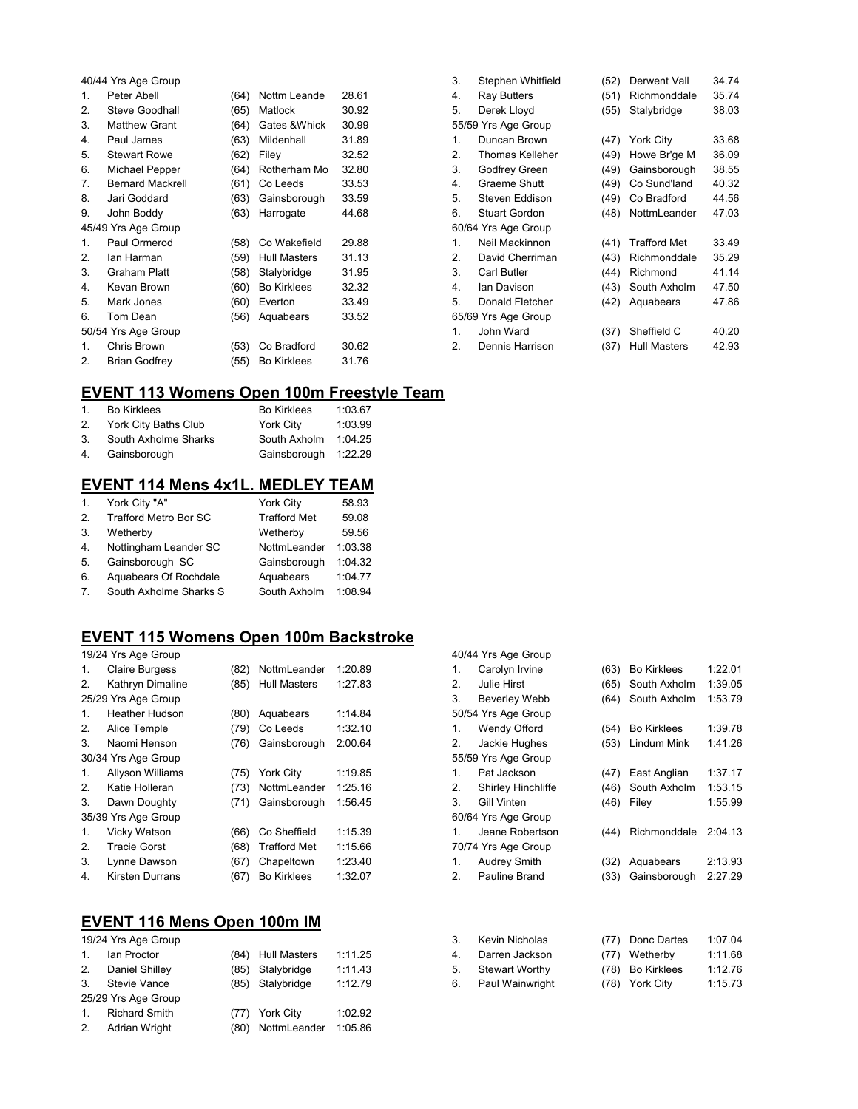|                | 40/44 Yrs Age Group     |      |                    |       |
|----------------|-------------------------|------|--------------------|-------|
| 1.             | Peter Abell             | (64) | Nottm Leande       | 28.61 |
| 2.             | <b>Steve Goodhall</b>   | (65) | <b>Matlock</b>     | 30.92 |
| 3.             | <b>Matthew Grant</b>    | (64) | Gates & Whick      | 30.99 |
| 4.             | Paul James              | (63) | Mildenhall         | 31.89 |
| 5.             | <b>Stewart Rowe</b>     | (62) | Filey              | 32.52 |
| 6.             | Michael Pepper          | (64) | Rotherham Mo       | 32.80 |
| 7.             | <b>Bernard Mackrell</b> | (61) | Co Leeds           | 33.53 |
| 8.             | Jari Goddard            | (63) | Gainsborough       | 33.59 |
| 9.             | John Boddy              | (63) | Harrogate          | 44.68 |
|                | 45/49 Yrs Age Group     |      |                    |       |
| $\mathbf{1}$ . | Paul Ormerod            | (58) | Co Wakefield       | 29.88 |
| 2.             | lan Harman              | (59) | Hull Masters       | 31.13 |
| 3.             | Graham Platt            | (58) | Stalybridge        | 31.95 |
| 4.             | Kevan Brown             | (60) | <b>Bo Kirklees</b> | 32.32 |
| 5.             | Mark Jones              | (60) | Everton            | 33.49 |
| 6.             | Tom Dean                | (56) | Aquabears          | 33.52 |
|                | 50/54 Yrs Age Group     |      |                    |       |
| $\mathbf{1}$ . | Chris Brown             | (53) | Co Bradford        | 30.62 |
| 2.             | <b>Brian Godfrey</b>    | (55) | <b>Bo Kirklees</b> | 31.76 |

| Stephen Whitfield   | (52) | Derwent Vall        | 34.74 |
|---------------------|------|---------------------|-------|
| Ray Butters         | (51) | Richmonddale        | 35.74 |
| Derek Lloyd         | (55) | Stalybridge         | 38.03 |
| 55/59 Yrs Age Group |      |                     |       |
| Duncan Brown        | (47) | <b>York City</b>    | 33.68 |
| Thomas Kelleher     | (49) | Howe Br'ge M        | 36.09 |
| Godfrey Green       | (49) | Gainsborough        | 38.55 |
| Graeme Shutt        | (49) | Co Sund'land        | 40.32 |
| Steven Eddison      | (49) | Co Bradford         | 44.56 |
| Stuart Gordon       | (48) | NottmLeander        | 47.03 |
| 60/64 Yrs Age Group |      |                     |       |
| Neil Mackinnon      | (41) | <b>Trafford Met</b> | 33.49 |
| David Cherriman     | (43) | Richmonddale        | 35.29 |
| Carl Butler         | (44) | Richmond            | 41.14 |
| lan Davison         | (43) | South Axholm        | 47.50 |
| Donald Fletcher     | (42) | Aquabears           | 47.86 |
| 65/69 Yrs Age Group |      |                     |       |
| John Ward           | (37) | Sheffield C         | 40.20 |
| Dennis Harrison     | (37) | <b>Hull Masters</b> | 42.93 |
|                     |      |                     |       |

### **EVENT 113 Womens Open 100m Freestyle Team**

| 1              | <b>Bo Kirklees</b>   | <b>Bo Kirklees</b>   | 1:03.67 |
|----------------|----------------------|----------------------|---------|
| 2.             | York City Baths Club | York City            | 1:03.99 |
| 3.             | South Axholme Sharks | South Axholm 1:04.25 |         |
| 4 <sup>1</sup> | Gainsborough         | Gainsborough 1:22.29 |         |
|                |                      |                      |         |

#### **EVENT 114 Mens 4x1L. MEDLEY TEAM**

| 1. | York City "A"                | York City           | 58.93   |
|----|------------------------------|---------------------|---------|
| 2. | <b>Trafford Metro Bor SC</b> | <b>Trafford Met</b> | 59.08   |
| 3. | Wetherby                     | Wetherby            | 59.56   |
| 4. | Nottingham Leander SC        | NottmLeander        | 1:03.38 |
| 5. | Gainsborough SC              | Gainsborough        | 1:04.32 |
| 6. | Aquabears Of Rochdale        | Aquabears           | 1:04.77 |
| 7. | South Axholme Sharks S       | South Axholm        | 1:08.94 |

# **EVENT 115 Womens Open 100m Backstroke**

|                | 19/24 Yrs Age Group     |      |                     |         |
|----------------|-------------------------|------|---------------------|---------|
| 1.             | <b>Claire Burgess</b>   | (82) | NottmLeander        | 1:20.89 |
| 2.             | Kathryn Dimaline        | (85) | <b>Hull Masters</b> | 1:27.83 |
|                | 25/29 Yrs Age Group     |      |                     |         |
| 1.             | <b>Heather Hudson</b>   | (80) | Aquabears           | 1:14.84 |
| 2.             | Alice Temple            | (79) | Co Leeds            | 1:32.10 |
| 3.             | Naomi Henson            | (76) | Gainsborough        | 2:00.64 |
|                | 30/34 Yrs Age Group     |      |                     |         |
| 1.             | <b>Allyson Williams</b> | (75) | <b>York City</b>    | 1:19.85 |
| 2.             | Katie Holleran          | (73) | NottmLeander        | 1:25.16 |
| 3.             | Dawn Doughty            | (71) | Gainsborough        | 1:56.45 |
|                | 35/39 Yrs Age Group     |      |                     |         |
| $\mathbf{1}$ . | Vicky Watson            | (66) | Co Sheffield        | 1:15.39 |
| 2.             | <b>Tracie Gorst</b>     | (68) | <b>Trafford Met</b> | 1:15.66 |
| 3.             | Lynne Dawson            | (67) | Chapeltown          | 1:23.40 |
| 4.             | <b>Kirsten Durrans</b>  | (67) | <b>Bo Kirklees</b>  | 1:32.07 |

## **EVENT 116 Mens Open 100m IM**

|                | 19/24 Yrs Age Group  |                   |         |
|----------------|----------------------|-------------------|---------|
| 1 <sub>1</sub> | Ian Proctor          | (84) Hull Masters | 1:11.25 |
| 2.             | Daniel Shilley       | (85) Stalybridge  | 1:11.43 |
| $\mathcal{S}$  | Stevie Vance         | (85) Stalybridge  | 1:12.79 |
|                | 25/29 Yrs Age Group  |                   |         |
| 1 <sub>1</sub> | <b>Richard Smith</b> | (77) York City    | 1:02.92 |
| 2.             | Adrian Wright        | (80) NottmLeander | 1:05.86 |

|    | 40/44 Yrs Age Group  |      |                    |         |
|----|----------------------|------|--------------------|---------|
| 1. | Carolyn Irvine       | (63) | <b>Bo Kirklees</b> | 1:22.01 |
| 2. | Julie Hirst          | (65) | South Axholm       | 1:39.05 |
| 3. | <b>Beverley Webb</b> | (64) | South Axholm       | 1:53.79 |
|    | 50/54 Yrs Age Group  |      |                    |         |
| 1. | Wendy Offord         | (54) | <b>Bo Kirklees</b> | 1:39.78 |
| 2. | Jackie Hughes        | (53) | Lindum Mink        | 1:41.26 |
|    | 55/59 Yrs Age Group  |      |                    |         |
| 1. | Pat Jackson          | (47) | East Anglian       | 1:37.17 |
| 2. | Shirley Hinchliffe   | (46) | South Axholm       | 1:53.15 |
| 3. | <b>Gill Vinten</b>   | (46) | Filey              | 1:55.99 |
|    | 60/64 Yrs Age Group  |      |                    |         |
| 1. | Jeane Robertson      | (44) | Richmonddale       | 2:04.13 |
|    | 70/74 Yrs Age Group  |      |                    |         |
| 1. | Audrey Smith         | (32) | Aquabears          | 2:13.93 |
| 2. | Pauline Brand        | (33) | Gainsborough       | 2:27.29 |
|    |                      |      |                    |         |
|    |                      |      |                    |         |
|    |                      |      |                    |         |
|    |                      |      |                    |         |

| 3. | Kevin Nicholas        | (77) Donc Dartes | 1:07.04 |
|----|-----------------------|------------------|---------|
| 4  | Darren Jackson        | (77) Wetherby    | 1:11.68 |
| 5. | <b>Stewart Worthy</b> | (78) Bo Kirklees | 1:12.76 |
| 6. | Paul Wainwright       | (78) York City   | 1:15.73 |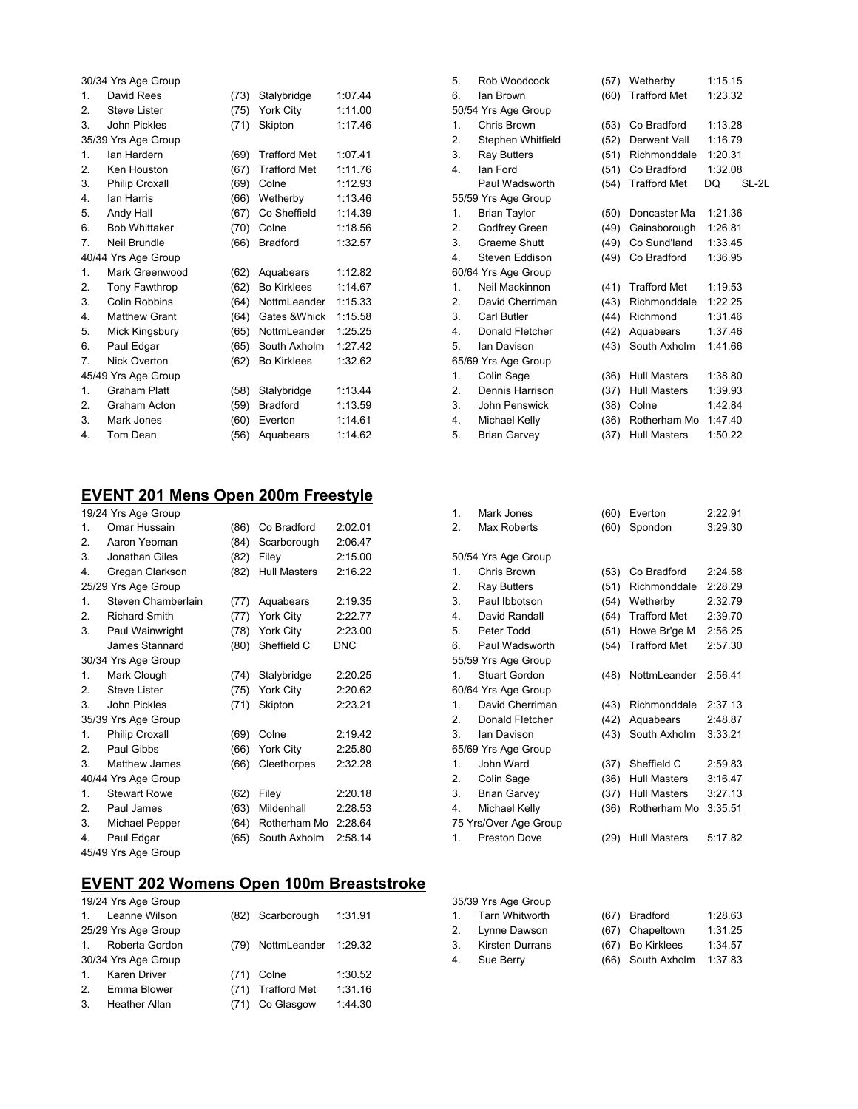| 30/34 Yrs Age Group   |      |                     |         |
|-----------------------|------|---------------------|---------|
| David Rees            | (73) | Stalybridge         | 1:07.44 |
| <b>Steve Lister</b>   | (75) | York City           | 1:11.00 |
| John Pickles          | (71) | Skipton             | 1:17.46 |
| 35/39 Yrs Age Group   |      |                     |         |
| lan Hardern           | (69) | <b>Trafford Met</b> | 1:07.41 |
| Ken Houston           | (67) | <b>Trafford Met</b> | 1:11.76 |
| <b>Philip Croxall</b> | (69) | Colne               | 1:12.93 |
| lan Harris            | (66) | Wetherby            | 1:13.46 |
| Andy Hall             | (67) | Co Sheffield        | 1:14.39 |
| <b>Bob Whittaker</b>  | (70) | Colne               | 1:18.56 |
| Neil Brundle          | (66) | <b>Bradford</b>     | 1:32.57 |
| 40/44 Yrs Age Group   |      |                     |         |
| Mark Greenwood        | (62) | Aquabears           | 1:12.82 |
| Tony Fawthrop         | (62) | <b>Bo Kirklees</b>  | 1:14.67 |
| Colin Robbins         | (64) | NottmLeander        | 1:15.33 |
| <b>Matthew Grant</b>  | (64) | Gates & Whick       | 1:15.58 |
| Mick Kingsbury        | (65) | NottmLeander        | 1:25.25 |
| Paul Edgar            | (65) | South Axholm        | 1:27.42 |
| <b>Nick Overton</b>   | (62) | <b>Bo Kirklees</b>  | 1:32.62 |
| 45/49 Yrs Age Group   |      |                     |         |
| <b>Graham Platt</b>   | (58) | Stalybridge         | 1:13.44 |
| Graham Acton          | (59) | <b>Bradford</b>     | 1:13.59 |
| Mark Jones            | (60) | Everton             | 1:14.61 |
|                       |      |                     |         |
|                       |      |                     |         |

# **EVENT 201 Mens Open 200m Freestyle**

|                     | 19/24 Yrs Age Group   |      |                      |            |  |
|---------------------|-----------------------|------|----------------------|------------|--|
| 1.                  | Omar Hussain          | (86) | Co Bradford          | 2:02.01    |  |
| 2.                  | Aaron Yeoman          | (84) | Scarborough          | 2:06.47    |  |
| 3.                  | Jonathan Giles        | (82) | Filey                | 2:15.00    |  |
| 4.                  | Gregan Clarkson       | (82) | Hull Masters         | 2:16.22    |  |
|                     | 25/29 Yrs Age Group   |      |                      |            |  |
| $\mathbf{1}$        | Steven Chamberlain    | (77) | Aquabears            | 2:19.35    |  |
| 2.                  | <b>Richard Smith</b>  | (77) | York City            | 2:22.77    |  |
| 3.                  | Paul Wainwright       | (78) | York City            | 2:23.00    |  |
|                     | James Stannard        | (80) | Sheffield C          | <b>DNC</b> |  |
|                     | 30/34 Yrs Age Group   |      |                      |            |  |
| 1.                  | Mark Clough           | (74) | Stalybridge          | 2:20.25    |  |
| 2.                  | <b>Steve Lister</b>   | (75) | York City            | 2:20.62    |  |
| 3.                  | John Pickles          | (71) | Skipton              | 2:23.21    |  |
|                     | 35/39 Yrs Age Group   |      |                      |            |  |
| 1.                  | <b>Philip Croxall</b> | (69) | Colne                | 2:19.42    |  |
| 2.                  | Paul Gibbs            | (66) | York City            | 2:25.80    |  |
| 3.                  | Matthew James         | (66) | Cleethorpes          | 2:32.28    |  |
|                     | 40/44 Yrs Age Group   |      |                      |            |  |
| 1.                  | <b>Stewart Rowe</b>   | (62) | Filey                | 2:20.18    |  |
| 2.                  | Paul James            | (63) | Mildenhall           | 2:28.53    |  |
| 3.                  | Michael Pepper        | (64) | Rotherham Mo 2:28.64 |            |  |
| 4.                  | Paul Edgar            | (65) | South Axholm         | 2:58.14    |  |
| 45/49 Yrs Age Group |                       |      |                      |            |  |

## **EVENT 202 Womens Open 100m Breaststroke**

|                | 19/24 Yrs Age Group  |      |                      |         |
|----------------|----------------------|------|----------------------|---------|
| $\mathbf{1}$   | Leanne Wilson        |      | (82) Scarborough     | 1:31.91 |
|                | 25/29 Yrs Age Group  |      |                      |         |
| $\mathbf{1}$ . | Roberta Gordon       | (79) | NottmLeander 1:29.32 |         |
|                | 30/34 Yrs Age Group  |      |                      |         |
| $\mathbf{1}$ . | <b>Karen Driver</b>  |      | (71) Colne           | 1:30.52 |
| 2.             | Emma Blower          | (71) | <b>Trafford Met</b>  | 1:31.16 |
| 3.             | <b>Heather Allan</b> | (71) | Co Glasgow           | 1:44.30 |

| 5.               | Rob Woodcock        | (57) | Wetherby            | 1:15.15 |       |
|------------------|---------------------|------|---------------------|---------|-------|
| 6.               | lan Brown           | (60) | <b>Trafford Met</b> | 1:23.32 |       |
|                  | 50/54 Yrs Age Group |      |                     |         |       |
| $\mathbf{1}$     | Chris Brown         | (53) | Co Bradford         | 1:13.28 |       |
| 2.               | Stephen Whitfield   | (52) | Derwent Vall        | 1:16.79 |       |
| 3.               | <b>Ray Butters</b>  | (51) | Richmonddale        | 1:20.31 |       |
| $\overline{4}$ . | lan Ford            | (51) | Co Bradford         | 1:32.08 |       |
|                  | Paul Wadsworth      | (54) | <b>Trafford Met</b> | DO      | SL-2L |
|                  | 55/59 Yrs Age Group |      |                     |         |       |
| $\mathbf{1}$ .   | <b>Brian Taylor</b> | (50) | Doncaster Ma        | 1:21.36 |       |
| 2.               | Godfrey Green       | (49) | Gainsborough        | 1:26.81 |       |
| 3.               | Graeme Shutt        | (49) | Co Sund'land        | 1:33.45 |       |
| 4.               | Steven Eddison      | (49) | Co Bradford         | 1:36.95 |       |
|                  | 60/64 Yrs Age Group |      |                     |         |       |
| $\mathbf{1}$ .   | Neil Mackinnon      | (41) | <b>Trafford Met</b> | 1:19.53 |       |
| 2.               | David Cherriman     | (43) | Richmonddale        | 1:22.25 |       |
| 3.               | Carl Butler         | (44) | Richmond            | 1:31.46 |       |
| 4.               | Donald Fletcher     | (42) | Aquabears           | 1:37.46 |       |
| 5.               | lan Davison         | (43) | South Axholm        | 1:41.66 |       |
|                  | 65/69 Yrs Age Group |      |                     |         |       |
| $\mathbf{1}$ .   | Colin Sage          | (36) | Hull Masters        | 1:38.80 |       |
| 2.               | Dennis Harrison     | (37) | <b>Hull Masters</b> | 1:39.93 |       |
| 3.               | John Penswick       | (38) | Colne               | 1:42.84 |       |
| 4.               | Michael Kelly       | (36) | Rotherham Mo        | 1:47.40 |       |
| 5.               | <b>Brian Garvey</b> | (37) | <b>Hull Masters</b> | 1:50.22 |       |
|                  |                     |      |                     |         |       |

| 1. | Mark Jones            | (60) | Everton             | 2:22.91 |
|----|-----------------------|------|---------------------|---------|
| 2. | Max Roberts           | (60) | Spondon             | 3:29.30 |
|    |                       |      |                     |         |
|    | 50/54 Yrs Age Group   |      |                     |         |
| 1. | Chris Brown           | (53) | Co Bradford         | 2:24.58 |
| 2. | <b>Ray Butters</b>    | (51) | Richmonddale        | 2:28.29 |
| 3. | Paul Ibbotson         | (54) | Wetherby            | 2:32.79 |
| 4. | David Randall         | (54) | <b>Trafford Met</b> | 2:39.70 |
| 5. | Peter Todd            | (51) | Howe Br'ge M        | 2:56.25 |
| 6. | Paul Wadsworth        | (54) | <b>Trafford Met</b> | 2:57.30 |
|    | 55/59 Yrs Age Group   |      |                     |         |
| 1. | <b>Stuart Gordon</b>  | (48) | NottmLeander        | 2:56.41 |
|    | 60/64 Yrs Age Group   |      |                     |         |
| 1. | David Cherriman       | (43) | Richmonddale        | 2:37.13 |
| 2. | Donald Fletcher       | (42) | Aquabears           | 2:48.87 |
| 3. | lan Davison           | (43) | South Axholm        | 3:33.21 |
|    | 65/69 Yrs Age Group   |      |                     |         |
| 1. | John Ward             | (37) | Sheffield C         | 2:59.83 |
| 2. | Colin Sage            | (36) | Hull Masters        | 3:16.47 |
| 3. | <b>Brian Garvey</b>   | (37) | Hull Masters        | 3:27.13 |
| 4. | Michael Kelly         | (36) | Rotherham Mo        | 3:35.51 |
|    | 75 Yrs/Over Age Group |      |                     |         |
| 1. | <b>Preston Dove</b>   | (29) | <b>Hull Masters</b> | 5:17.82 |
|    |                       |      |                     |         |

|              | 35/39 Yrs Age Group    |                   |         |
|--------------|------------------------|-------------------|---------|
| $1_{\cdots}$ | Tarn Whitworth         | (67) Bradford     | 1:28.63 |
| 2.           | Lynne Dawson           | (67) Chapeltown   | 1:31.25 |
| 3.           | <b>Kirsten Durrans</b> | (67) Bo Kirklees  | 1:34.57 |
| 4.           | Sue Berry              | (66) South Axholm | 1:37.83 |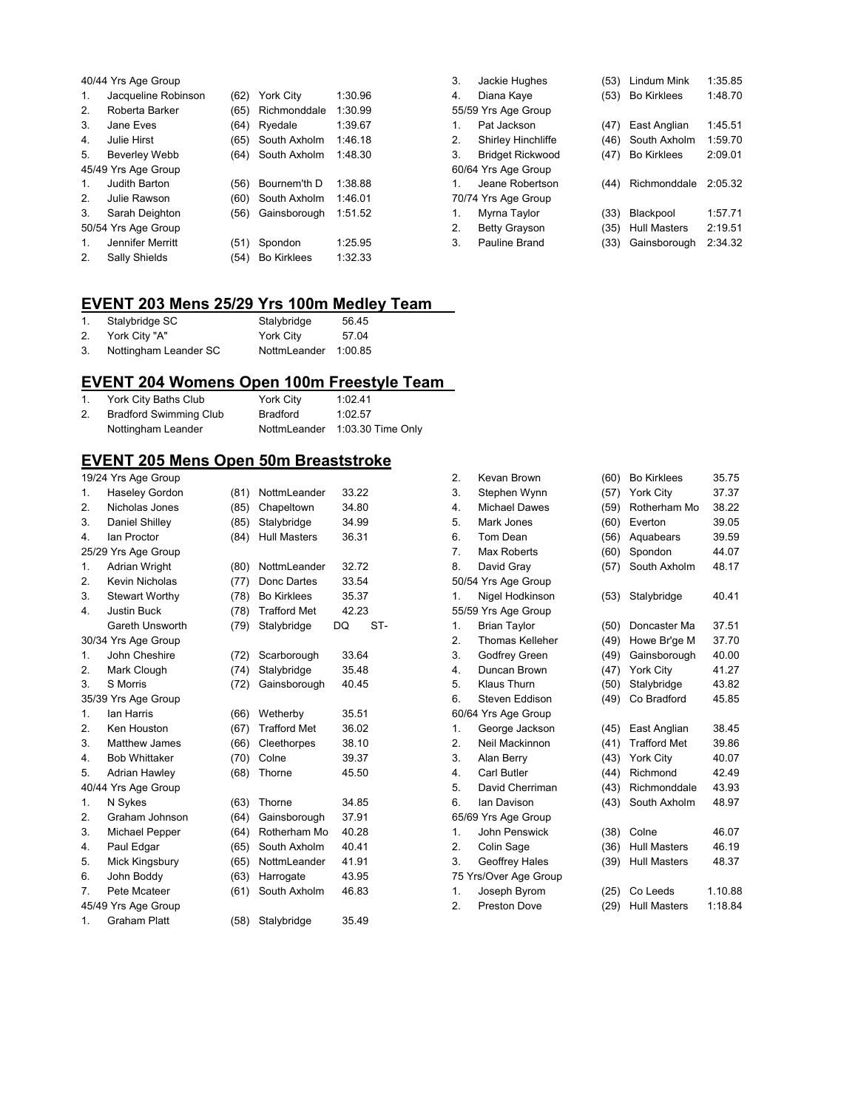|                     | 40/44 Yrs Age Group  |      |                    |         |  |  |
|---------------------|----------------------|------|--------------------|---------|--|--|
| 1.                  | Jacqueline Robinson  | (62) | York City          | 1:30.96 |  |  |
| 2.                  | Roberta Barker       | (65) | Richmonddale       | 1:30.99 |  |  |
| 3.                  | Jane Eves            | (64) | Ryedale            | 1:39.67 |  |  |
| 4.                  | Julie Hirst          | (65) | South Axholm       | 1:46.18 |  |  |
| 5.                  | <b>Beverley Webb</b> | (64) | South Axholm       | 1:48.30 |  |  |
| 45/49 Yrs Age Group |                      |      |                    |         |  |  |
| $\mathbf{1}$ .      | Judith Barton        | (56) | Bournem'th D       | 1:38.88 |  |  |
| 2.                  | Julie Rawson         | (60) | South Axholm       | 1:46.01 |  |  |
| 3.                  | Sarah Deighton       | (56) | Gainsborough       | 1:51.52 |  |  |
|                     | 50/54 Yrs Age Group  |      |                    |         |  |  |
| 1.                  | Jennifer Merritt     | (51) | Spondon            | 1:25.95 |  |  |
| 2.                  | Sally Shields        | (54) | <b>Bo Kirklees</b> | 1:32.33 |  |  |

| 3.          | Jackie Hughes           | (53) | Lindum Mink         | 1:35.85 |
|-------------|-------------------------|------|---------------------|---------|
| 4.          | Diana Kaye              | (53) | <b>Bo Kirklees</b>  | 1:48.70 |
|             | 55/59 Yrs Age Group     |      |                     |         |
| 1.          | Pat Jackson             | (47) | East Anglian        | 1:45.51 |
| 2.          | Shirley Hinchliffe      | (46) | South Axholm        | 1:59.70 |
| 3.          | <b>Bridget Rickwood</b> | (47) | <b>Bo Kirklees</b>  | 2:09.01 |
|             | 60/64 Yrs Age Group     |      |                     |         |
| 1.          | Jeane Robertson         | (44) | Richmonddale        | 2:05.32 |
|             | 70/74 Yrs Age Group     |      |                     |         |
| $\mathbf 1$ | Myrna Taylor            | (33) | Blackpool           | 1:57.71 |
| 2.          | <b>Betty Grayson</b>    | (35) | <b>Hull Masters</b> | 2:19.51 |
| 3.          | Pauline Brand           | (33) | Gainsborough        | 2:34.32 |

# **EVENT 203 Mens 25/29 Yrs 100m Medley Team**

|    | Stalybridge SC        | Stalybridge          | 56.45 |
|----|-----------------------|----------------------|-------|
| 2. | York City "A"         | York City            | 57.04 |
| 3. | Nottingham Leander SC | NottmLeander 1:00.85 |       |

### **EVENT 204 Womens Open 100m Freestyle Team**

|    | York City Baths Club          | York City | 1:02.41                        |
|----|-------------------------------|-----------|--------------------------------|
| 2. | <b>Bradford Swimming Club</b> | Bradford  | 1:02.57                        |
|    | Nottingham Leander            |           | NottmLeander 1:03.30 Time Only |

## **EVENT 205 Mens Open 50m Breaststroke**

|                | 19/24 Yrs Age Group   |      |                     |       |     |  |
|----------------|-----------------------|------|---------------------|-------|-----|--|
| 1.             | Haseley Gordon        | (81) | NottmLeander        | 33.22 |     |  |
| 2.             | Nicholas Jones        | (85) | Chapeltown          | 34.80 |     |  |
| 3.             | Daniel Shilley        | (85) | Stalybridge         | 34.99 |     |  |
| 4.             | <b>Ian Proctor</b>    | (84) | <b>Hull Masters</b> | 36.31 |     |  |
|                | 25/29 Yrs Age Group   |      |                     |       |     |  |
| 1.             | Adrian Wright         | (80) | NottmLeander        | 32.72 |     |  |
| 2.             | Kevin Nicholas        | (77) | Donc Dartes         | 33.54 |     |  |
| 3.             | <b>Stewart Worthy</b> | (78) | <b>Bo Kirklees</b>  | 35.37 |     |  |
| 4.             | <b>Justin Buck</b>    | (78) | <b>Trafford Met</b> | 42.23 |     |  |
|                | Gareth Unsworth       | (79) | Stalybridge         | DQ    | ST- |  |
|                | 30/34 Yrs Age Group   |      |                     |       |     |  |
| $\mathbf{1}$ . | John Cheshire         | (72) | Scarborough         | 33.64 |     |  |
| 2.             | Mark Clough           | (74) | Stalybridge         | 35.48 |     |  |
| 3.             | S Morris              | (72) | Gainsborough        | 40.45 |     |  |
|                | 35/39 Yrs Age Group   |      |                     |       |     |  |
| 1.             | lan Harris            | (66) | Wetherby            | 35.51 |     |  |
| 2.             | Ken Houston           | (67) | <b>Trafford Met</b> | 36.02 |     |  |
| 3.             | Matthew James         | (66) | Cleethorpes         | 38.10 |     |  |
| 4.             | <b>Bob Whittaker</b>  | (70) | Colne               | 39.37 |     |  |
| 5.             | Adrian Hawley         | (68) | Thorne              | 45.50 |     |  |
|                | 40/44 Yrs Age Group   |      |                     |       |     |  |
| 1.             | N Sykes               | (63) | Thorne              | 34.85 |     |  |
| 2.             | Graham Johnson        | (64) | Gainsborough        | 37.91 |     |  |
| 3.             | Michael Pepper        | (64) | Rotherham Mo        | 40.28 |     |  |
| 4.             | Paul Edgar            | (65) | South Axholm        | 40.41 |     |  |
| 5.             | Mick Kingsbury        | (65) | NottmLeander        | 41.91 |     |  |
| 6.             | John Boddy            | (63) | Harrogate           | 43.95 |     |  |
| 7.             | Pete Mcateer          | (61) | South Axholm        | 46.83 |     |  |
|                | 45/49 Yrs Age Group   |      |                     |       |     |  |
| 1.             | <b>Graham Platt</b>   | (58) | Stalybridge         | 35.49 |     |  |

| 2. | Kevan Brown            | (60) | <b>Bo Kirklees</b>  | 35.75   |
|----|------------------------|------|---------------------|---------|
| 3. | Stephen Wynn           | (57) | York City           | 37.37   |
| 4. | <b>Michael Dawes</b>   | (59) | Rotherham Mo        | 38.22   |
| 5. | Mark Jones             | (60) | Everton             | 39.05   |
| 6. | Tom Dean               | (56) | Aquabears           | 39.59   |
| 7. | Max Roberts            | (60) | Spondon             | 44.07   |
| 8. | David Gray             | (57) | South Axholm        | 48.17   |
|    | 50/54 Yrs Age Group    |      |                     |         |
| 1. | Nigel Hodkinson        | (53) | Stalybridge         | 40.41   |
|    | 55/59 Yrs Age Group    |      |                     |         |
| 1. | <b>Brian Taylor</b>    | (50) | Doncaster Ma        | 37.51   |
| 2. | <b>Thomas Kelleher</b> | (49) | Howe Br'ge M        | 37.70   |
| 3. | Godfrey Green          | (49) | Gainsborough        | 40.00   |
| 4. | Duncan Brown           | (47) | York City           | 41.27   |
| 5. | Klaus Thurn            | (50) | Stalybridge         | 43.82   |
| 6. | Steven Eddison         | (49) | Co Bradford         | 45.85   |
|    | 60/64 Yrs Age Group    |      |                     |         |
| 1. | George Jackson         | (45) | East Anglian        | 38.45   |
| 2. | Neil Mackinnon         | (41) | <b>Trafford Met</b> | 39.86   |
| 3. | Alan Berry             | (43) | York City           | 40.07   |
| 4. | Carl Butler            | (44) | Richmond            | 42.49   |
| 5. | David Cherriman        | (43) | Richmonddale        | 43.93   |
| 6. | Ian Davison            | (43) | South Axholm        | 48.97   |
|    | 65/69 Yrs Age Group    |      |                     |         |
| 1. | John Penswick          | (38) | Colne               | 46.07   |
| 2. | Colin Sage             | (36) | <b>Hull Masters</b> | 46.19   |
| 3. | Geoffrey Hales         | (39) | <b>Hull Masters</b> | 48.37   |
|    | 75 Yrs/Over Age Group  |      |                     |         |
| 1. | Joseph Byrom           | (25) | Co Leeds            | 1.10.88 |
| 2. | <b>Preston Dove</b>    | (29) | <b>Hull Masters</b> | 1:18.84 |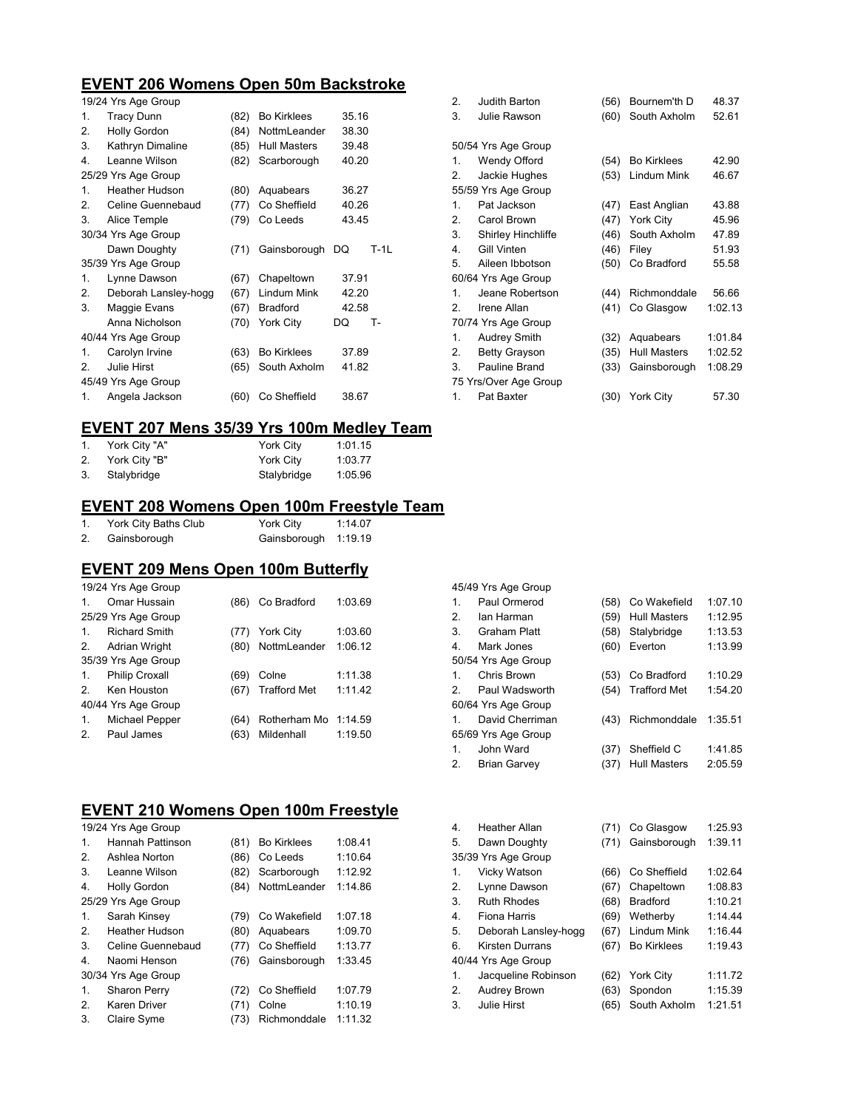### **EVENT 206 Womens Open 50m Backstroke**

|                     | 19/24 Yrs Age Group   |      |                    |       |        |
|---------------------|-----------------------|------|--------------------|-------|--------|
| 1.                  | <b>Tracy Dunn</b>     | (82) | <b>Bo Kirklees</b> | 35.16 |        |
| 2.                  | <b>Holly Gordon</b>   | (84) | NottmLeander       | 38.30 |        |
| 3.                  | Kathryn Dimaline      | (85) | Hull Masters       | 39.48 |        |
| 4.                  | Leanne Wilson         | (82) | Scarborough        | 40.20 |        |
|                     | 25/29 Yrs Age Group   |      |                    |       |        |
| 1.                  | <b>Heather Hudson</b> | (80) | Aquabears          | 36.27 |        |
| 2.                  | Celine Guennebaud     | (77) | Co Sheffield       | 40.26 |        |
| 3.                  | Alice Temple          | (79) | Co Leeds           | 43.45 |        |
| 30/34 Yrs Age Group |                       |      |                    |       |        |
|                     | Dawn Doughty          | (71) | Gainsborough       | DQ    | $T-1L$ |
|                     | 35/39 Yrs Age Group   |      |                    |       |        |
| 1.                  | Lynne Dawson          | (67) | Chapeltown         | 37.91 |        |
| 2.                  | Deborah Lansley-hogg  | (67) | Lindum Mink        | 42.20 |        |
| 3.                  | Maggie Evans          | (67) | <b>Bradford</b>    | 42.58 |        |
|                     | Anna Nicholson        | (70) | York City          | DQ    | т.     |
|                     | 40/44 Yrs Age Group   |      |                    |       |        |
| 1.                  | Carolyn Irvine        | (63) | <b>Bo Kirklees</b> | 37.89 |        |
| 2                   | Julie Hirst           | (65) | South Axholm       | 41.82 |        |
|                     | 45/49 Yrs Age Group   |      |                    |       |        |
| 1.                  | Angela Jackson        | (60) | Co Sheffield       | 38.67 |        |

| 2.             | Judith Barton             | (56) | Bournem'th D       | 48.37   |
|----------------|---------------------------|------|--------------------|---------|
| 3.             | Julie Rawson              | (60) | South Axholm       | 52.61   |
|                |                           |      |                    |         |
|                | 50/54 Yrs Age Group       |      |                    |         |
| 1.             | Wendy Offord              | (54) | <b>Bo Kirklees</b> | 42.90   |
| 2.             | Jackie Hughes             | (53) | Lindum Mink        | 46.67   |
|                | 55/59 Yrs Age Group       |      |                    |         |
| 1.             | Pat Jackson               | (47) | East Anglian       | 43.88   |
| 2.             | Carol Brown               | (47) | York City          | 45.96   |
| 3.             | <b>Shirley Hinchliffe</b> | (46) | South Axholm       | 47.89   |
| 4.             | Gill Vinten               | (46) | Filey              | 51.93   |
| 5.             | Aileen Ibbotson           | (50) | Co Bradford        | 55.58   |
|                | 60/64 Yrs Age Group       |      |                    |         |
| 1 <sub>1</sub> | Jeane Robertson           | (44) | Richmonddale       | 56.66   |
| 2.             | Irene Allan               | (41) | Co Glasgow         | 1:02.13 |
|                | 70/74 Yrs Age Group       |      |                    |         |
| 1.             | Audrey Smith              | (32) | Aquabears          | 1:01.84 |
| 2.             | <b>Betty Grayson</b>      | (35) | Hull Masters       | 1:02.52 |
| 3.             | Pauline Brand             | (33) | Gainsborough       | 1:08.29 |
|                | 75 Yrs/Over Age Group     |      |                    |         |
| 1.             | Pat Baxter                |      | (30) York City     | 57.30   |
|                |                           |      |                    |         |

# **EVENT 207 Mens 35/39 Yrs 100m Medley Team**

|    | York City "A" | York Citv   | 1:01.15 |
|----|---------------|-------------|---------|
| 2. | York City "B" | York City   | 1:03.77 |
|    | Stalybridge   | Stalybridge | 1:05.96 |

## **EVENT 208 Womens Open 100m Freestyle Team**

|    | York City Baths Club | York City            | 1:14.07 |
|----|----------------------|----------------------|---------|
| 2. | Gainsborough         | Gainsborough 1:19.19 |         |

#### **EVENT 209 Mens Open 100m Butterfly**

|                | 19/24 Yrs Age Group   |      |                      |         |  |  |
|----------------|-----------------------|------|----------------------|---------|--|--|
| 1              | Omar Hussain          | (86) | Co Bradford          | 1:03.69 |  |  |
|                | 25/29 Yrs Age Group   |      |                      |         |  |  |
| $\mathbf{1}$   | <b>Richard Smith</b>  | (77) | <b>York City</b>     | 1:03.60 |  |  |
| 2.             | <b>Adrian Wright</b>  | (80) | NottmLeander         | 1:06.12 |  |  |
|                | 35/39 Yrs Age Group   |      |                      |         |  |  |
| $\mathbf{1}$ . | <b>Philip Croxall</b> | (69) | Colne                | 1:11.38 |  |  |
| $\mathcal{P}$  | Ken Houston           | (67) | <b>Trafford Met</b>  | 1:11.42 |  |  |
|                | 40/44 Yrs Age Group   |      |                      |         |  |  |
| $\mathbf{1}$ . | Michael Pepper        | (64) | Rotherham Mo 1:14.59 |         |  |  |
| 2.             | Paul James            | (63) | Mildenhall           | 1:19.50 |  |  |

## **EVENT 210 Womens Open 100m Freestyle**

| 19/24 Yrs Age Group |                       |      |                    |         |
|---------------------|-----------------------|------|--------------------|---------|
| 1.                  | Hannah Pattinson      | (81) | <b>Bo Kirklees</b> | 1:08.41 |
| 2.                  | Ashlea Norton         | (86) | Co Leeds           | 1:10.64 |
| 3.                  | Leanne Wilson         | (82) | Scarborough        | 1:12.92 |
| 4.                  | <b>Holly Gordon</b>   | (84) | NottmLeander       | 1:14.86 |
|                     | 25/29 Yrs Age Group   |      |                    |         |
| 1.                  | Sarah Kinsey          | (79) | Co Wakefield       | 1:07.18 |
| 2.                  | <b>Heather Hudson</b> | (80) | Aquabears          | 1:09.70 |
| 3.                  | Celine Guennebaud     | (77) | Co Sheffield       | 1:13.77 |
| 4.                  | Naomi Henson          | (76) | Gainsborough       | 1:33.45 |
|                     | 30/34 Yrs Age Group   |      |                    |         |
| 1.                  | <b>Sharon Perry</b>   | (72) | Co Sheffield       | 1:07.79 |
| 2.                  | Karen Driver          | (71) | Colne              | 1:10.19 |
| 3.                  | Claire Syme           | (73) | Richmonddale       | 1:11.32 |

|    | 45/49 Yrs Age Group |      |                     |         |
|----|---------------------|------|---------------------|---------|
| 1. | Paul Ormerod        | (58) | Co Wakefield        | 1:07.10 |
| 2  | lan Harman          | (59) | <b>Hull Masters</b> | 1:12.95 |
| 3. | Graham Platt        | (58) | Stalybridge         | 1:13.53 |
| 4. | Mark Jones          | (60) | Everton             | 1:13.99 |
|    | 50/54 Yrs Age Group |      |                     |         |
| 1. | Chris Brown         | (53) | Co Bradford         | 1:10.29 |
| 2  | Paul Wadsworth      | (54) | <b>Trafford Met</b> | 1:54.20 |
|    | 60/64 Yrs Age Group |      |                     |         |
| 1. | David Cherriman     | (43) | Richmonddale        | 1:35.51 |
|    | 65/69 Yrs Age Group |      |                     |         |
| 1. | John Ward           | (37) | Sheffield C         | 1:41.85 |
| 2. | <b>Brian Garvey</b> | (37) | <b>Hull Masters</b> | 2:05.59 |
|    |                     |      |                     |         |
|    |                     |      |                     |         |

| 4. | <b>Heather Allan</b>   | (71) | Co Glasgow         | 1:25.93 |
|----|------------------------|------|--------------------|---------|
| 5. | Dawn Doughty           | (71) | Gainsborough       | 1:39.11 |
|    | 35/39 Yrs Age Group    |      |                    |         |
| 1. | Vicky Watson           | (66) | Co Sheffield       | 1:02.64 |
| 2. | Lynne Dawson           | (67) | Chapeltown         | 1:08.83 |
| 3. | <b>Ruth Rhodes</b>     | (68) | <b>Bradford</b>    | 1:10.21 |
| 4. | Fiona Harris           | (69) | Wetherby           | 1:14.44 |
| 5. | Deborah Lansley-hogg   | (67) | Lindum Mink        | 1:16.44 |
| 6. | <b>Kirsten Durrans</b> | (67) | <b>Bo Kirklees</b> | 1:19.43 |
|    | 40/44 Yrs Age Group    |      |                    |         |
| 1. | Jacqueline Robinson    | (62) | York City          | 1:11.72 |
| 2. | Audrey Brown           | (63) | Spondon            | 1:15.39 |
| 3. | Julie Hirst            | (65) | South Axholm       | 1:21.51 |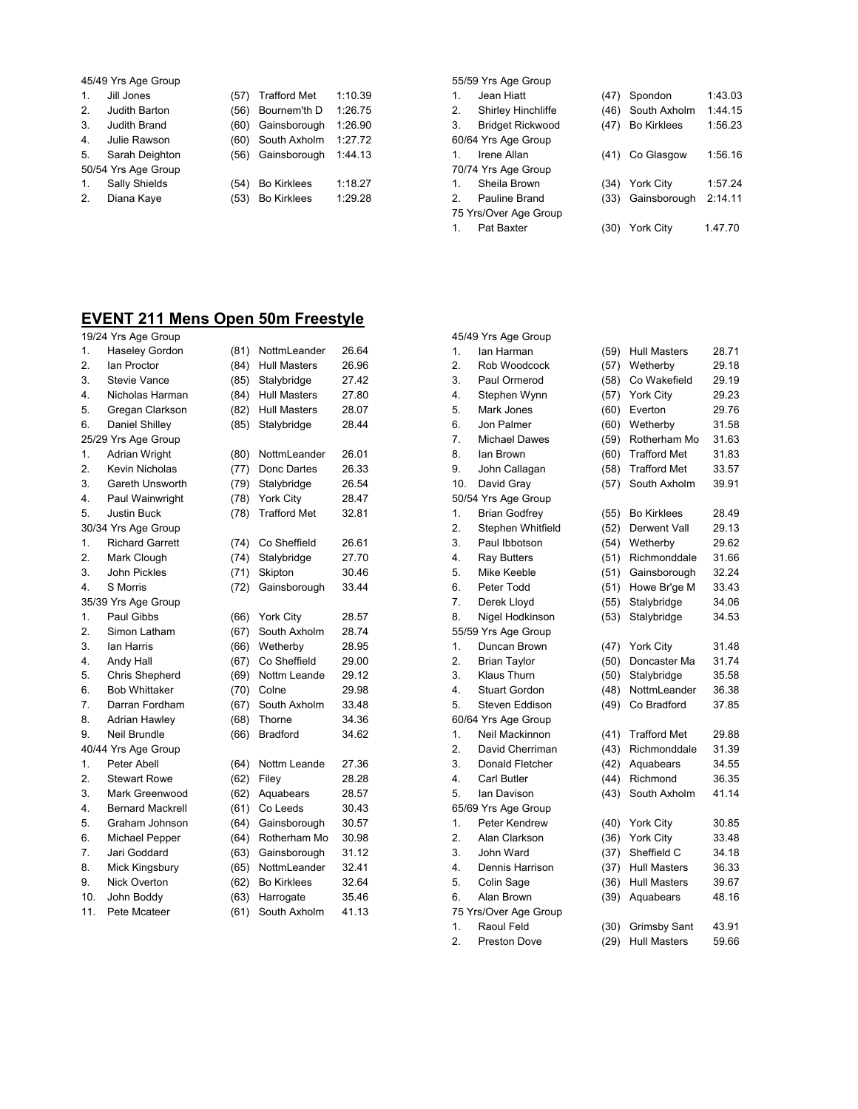|                | 45/49 Yrs Age Group |      |                     |         |  |
|----------------|---------------------|------|---------------------|---------|--|
| 1.             | Jill Jones          | (57) | <b>Trafford Met</b> | 1:10.39 |  |
| 2.             | Judith Barton       | (56) | Bournem'th D        | 1:26.75 |  |
| 3.             | Judith Brand        | (60) | Gainsborough        | 1:26.90 |  |
| 4.             | Julie Rawson        | (60) | South Axholm        | 1:27.72 |  |
| 5.             | Sarah Deighton      | (56) | Gainsborough        | 1:44.13 |  |
|                | 50/54 Yrs Age Group |      |                     |         |  |
| $\mathbf{1}$ . | Sally Shields       | (54) | <b>Bo Kirklees</b>  | 1:18.27 |  |
| 2.             | Diana Kaye          | (53) | <b>Bo Kirklees</b>  | 1:29.28 |  |
|                |                     |      |                     |         |  |

|    | 55/59 Yrs Age Group     |      |                   |         |  |
|----|-------------------------|------|-------------------|---------|--|
| 1. | Jean Hiatt              | (47) | Spondon           | 1:43.03 |  |
| 2. | Shirley Hinchliffe      |      | (46) South Axholm | 1:44.15 |  |
|    | <b>Bridget Rickwood</b> |      | (47) Bo Kirklees  | 1:56.23 |  |
|    | 60/64 Yrs Age Group     |      |                   |         |  |
| 1. | Irene Allan             |      | (41) Co Glasgow   | 1:56.16 |  |
|    | 70/74 Yrs Age Group     |      |                   |         |  |
| 1. | Sheila Brown            | (34) | <b>York City</b>  | 1:57.24 |  |
|    | Pauline Brand           |      | (33) Gainsborough | 2:14.11 |  |
|    | 75 Yrs/Over Age Group   |      |                   |         |  |
| 1. | Pat Baxter              | (30) | <b>York City</b>  | 1.47.70 |  |

# **EVENT 211 Mens Open 50m Freestyle**

|                  | 19/24 Yrs Age Group     |      |                     |       |
|------------------|-------------------------|------|---------------------|-------|
| 1.               | Haseley Gordon          | (81) | NottmLeander        | 26.64 |
| 2.               | lan Proctor             | (84) | <b>Hull Masters</b> | 26.96 |
| 3.               | <b>Stevie Vance</b>     | (85) | Stalybridge         | 27.42 |
| 4.               | Nicholas Harman         | (84) | Hull Masters        | 27.80 |
| 5.               | Gregan Clarkson         | (82) | <b>Hull Masters</b> | 28.07 |
| 6.               | Daniel Shilley          | (85) | Stalybridge         | 28.44 |
|                  | 25/29 Yrs Age Group     |      |                     |       |
| 1.               | <b>Adrian Wright</b>    | (80) | NottmLeander        | 26.01 |
| 2.               | Kevin Nicholas          | (77) | Donc Dartes         | 26.33 |
| 3.               | Gareth Unsworth         | (79) | Stalybridge         | 26.54 |
| 4.               | Paul Wainwright         | (78) | <b>York City</b>    | 28.47 |
| 5.               | <b>Justin Buck</b>      | (78) | <b>Trafford Met</b> | 32.81 |
|                  | 30/34 Yrs Age Group     |      |                     |       |
| 1.               | <b>Richard Garrett</b>  | (74) | Co Sheffield        | 26.61 |
| $\overline{2}$ . | Mark Clough             | (74) | Stalybridge         | 27.70 |
| 3.               | John Pickles            | (71) | Skipton             | 30.46 |
| 4.               | S Morris                | (72) | Gainsborough        | 33.44 |
|                  | 35/39 Yrs Age Group     |      |                     |       |
| 1.               | Paul Gibbs              | (66) | York City           | 28.57 |
| 2.               | Simon Latham            | (67) | South Axholm        | 28.74 |
| 3.               | lan Harris              | (66) | Wetherby            | 28.95 |
| 4.               | Andy Hall               | (67) | Co Sheffield        | 29.00 |
| 5.               | Chris Shepherd          | (69) | Nottm Leande        | 29.12 |
| 6.               | <b>Bob Whittaker</b>    | (70) | Colne               | 29.98 |
| 7.               | Darran Fordham          | (67) | South Axholm        | 33.48 |
| 8.               | <b>Adrian Hawley</b>    | (68) | Thorne              | 34.36 |
| 9.               | Neil Brundle            | (66) | <b>Bradford</b>     | 34.62 |
|                  | 40/44 Yrs Age Group     |      |                     |       |
| 1.               | Peter Abell             | (64) | Nottm Leande        | 27.36 |
| 2.               | <b>Stewart Rowe</b>     | (62) | Filey               | 28.28 |
| 3.               | Mark Greenwood          | (62) | Aquabears           | 28.57 |
| 4.               | <b>Bernard Mackrell</b> | (61) | Co Leeds            | 30.43 |
| 5.               | Graham Johnson          | (64) | Gainsborough        | 30.57 |
| 6.               | Michael Pepper          | (64) | Rotherham Mo        | 30.98 |
| 7.               | Jari Goddard            | (63) | Gainsborough        | 31.12 |
| 8.               | Mick Kingsbury          | (65) | NottmLeander        | 32.41 |
| 9.               | <b>Nick Overton</b>     | (62) | <b>Bo Kirklees</b>  | 32.64 |
| 10.              | John Boddy              | (63) | Harrogate           | 35.46 |
| 11.              | Pete Mcateer            | (61) | South Axholm        | 41.13 |

|     | 45/49 Yrs Age Group   |      |                     |       |
|-----|-----------------------|------|---------------------|-------|
| 1.  | lan Harman            | (59) | <b>Hull Masters</b> | 28.71 |
| 2.  | Rob Woodcock          | (57) | Wetherby            | 29.18 |
| 3.  | Paul Ormerod          | (58) | Co Wakefield        | 29.19 |
| 4.  | Stephen Wynn          | (57) | York City           | 29.23 |
| 5.  | Mark Jones            | (60) | Everton             | 29.76 |
| 6.  | Jon Palmer            | (60) | Wetherby            | 31.58 |
| 7.  | <b>Michael Dawes</b>  | (59) | Rotherham Mo        | 31.63 |
| 8.  | lan Brown             | (60) | <b>Trafford Met</b> | 31.83 |
| 9.  | John Callagan         | (58) | <b>Trafford Met</b> | 33.57 |
| 10. | David Gray            | (57) | South Axholm        | 39.91 |
|     | 50/54 Yrs Age Group   |      |                     |       |
| 1.  | <b>Brian Godfrey</b>  | (55) | <b>Bo Kirklees</b>  | 28.49 |
| 2.  | Stephen Whitfield     | (52) | Derwent Vall        | 29.13 |
| 3.  | Paul Ibbotson         | (54) | Wetherby            | 29.62 |
| 4.  | <b>Ray Butters</b>    | (51) | Richmonddale        | 31.66 |
| 5.  | Mike Keeble           | (51) | Gainsborough        | 32.24 |
| 6.  | Peter Todd            | (51) | Howe Br'ge M        | 33.43 |
| 7.  | Derek Lloyd           | (55) | Stalybridge         | 34.06 |
| 8.  | Nigel Hodkinson       | (53) | Stalybridge         | 34.53 |
|     | 55/59 Yrs Age Group   |      |                     |       |
| 1.  | Duncan Brown          | (47) | <b>York City</b>    | 31.48 |
| 2.  | <b>Brian Taylor</b>   | (50) | Doncaster Ma        | 31.74 |
| 3.  | Klaus Thurn           | (50) | Stalybridge         | 35.58 |
| 4.  | <b>Stuart Gordon</b>  | (48) | NottmLeander        | 36.38 |
| 5.  | Steven Eddison        | (49) | Co Bradford         | 37.85 |
|     | 60/64 Yrs Age Group   |      |                     |       |
| 1.  | Neil Mackinnon        | (41) | <b>Trafford Met</b> | 29.88 |
| 2.  | David Cherriman       | (43) | Richmonddale        | 31.39 |
| 3.  | Donald Fletcher       | (42) | Aquabears           | 34.55 |
| 4.  | Carl Butler           | (44) | Richmond            | 36.35 |
| 5.  | lan Davison           | (43) | South Axholm        | 41.14 |
|     | 65/69 Yrs Age Group   |      |                     |       |
| 1.  | Peter Kendrew         | (40) | York City           | 30.85 |
| 2.  | Alan Clarkson         | (36) | <b>York City</b>    | 33.48 |
| 3.  | John Ward             | (37) | Sheffield C         | 34.18 |
| 4.  | Dennis Harrison       | (37) | <b>Hull Masters</b> | 36.33 |
| 5.  | Colin Sage            | (36) | <b>Hull Masters</b> | 39.67 |
| 6.  | Alan Brown            | (39) | Aquabears           | 48.16 |
|     | 75 Yrs/Over Age Group |      |                     |       |
| 1.  | Raoul Feld            | (30) | <b>Grimsby Sant</b> | 43.91 |
| 2.  | <b>Preston Dove</b>   | (29) | <b>Hull Masters</b> | 59.66 |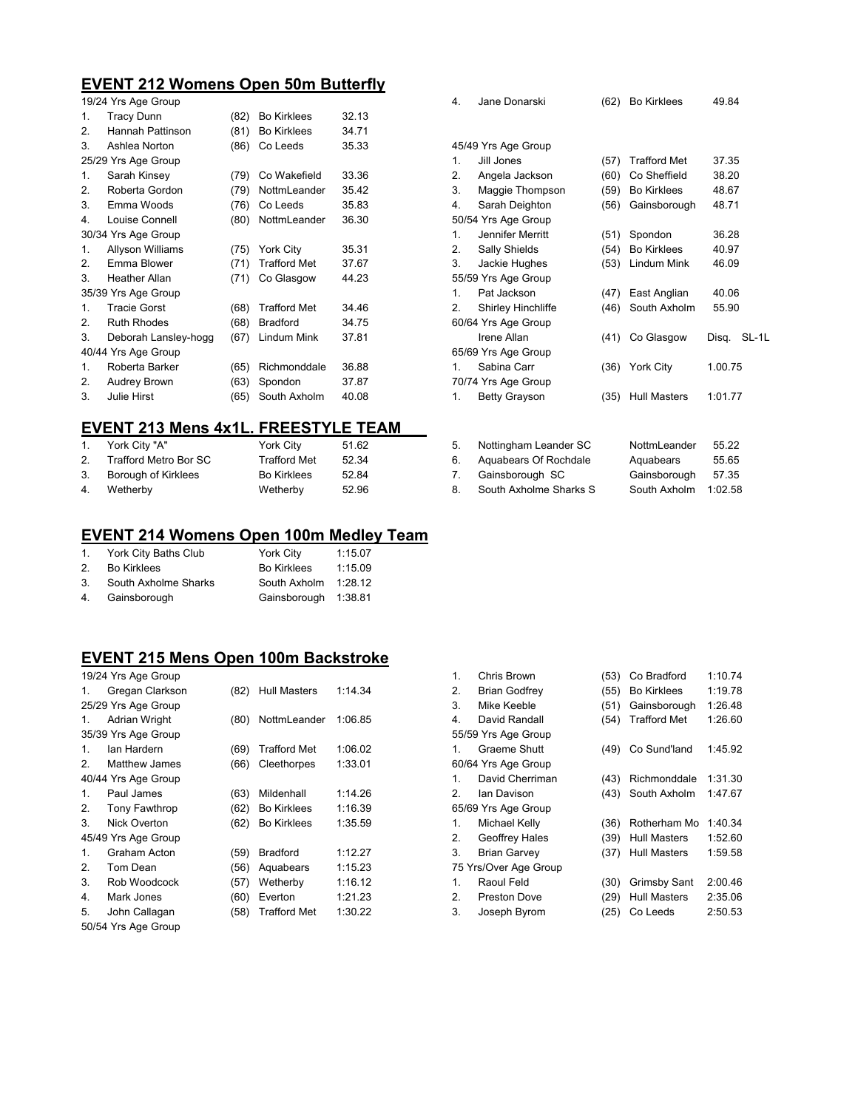## **EVENT 212 Womens Open 50m Butterfly**

|    | 19/24 Yrs Age Group  |      |                     |       |  |
|----|----------------------|------|---------------------|-------|--|
| 1. | <b>Tracy Dunn</b>    | (82) | <b>Bo Kirklees</b>  | 32.13 |  |
| 2. | Hannah Pattinson     | (81) | <b>Bo Kirklees</b>  | 34.71 |  |
| 3. | Ashlea Norton        | (86) | Co Leeds            | 35.33 |  |
|    | 25/29 Yrs Age Group  |      |                     |       |  |
| 1. | Sarah Kinsey         | (79) | Co Wakefield        | 33.36 |  |
| 2. | Roberta Gordon       | (79) | NottmLeander        | 35.42 |  |
| 3. | Emma Woods           | (76) | Co Leeds            | 35.83 |  |
| 4. | Louise Connell       | (80) | NottmLeander        | 36.30 |  |
|    | 30/34 Yrs Age Group  |      |                     |       |  |
| 1. | Allyson Williams     | (75) | York City           | 35.31 |  |
| 2. | Emma Blower          | (71) | <b>Trafford Met</b> | 37.67 |  |
| 3. | <b>Heather Allan</b> | (71) | Co Glasgow          | 44.23 |  |
|    | 35/39 Yrs Age Group  |      |                     |       |  |
| 1. | <b>Tracie Gorst</b>  | (68) | <b>Trafford Met</b> | 34.46 |  |
| 2. | <b>Ruth Rhodes</b>   | (68) | <b>Bradford</b>     | 34.75 |  |
| 3. | Deborah Lansley-hogg | (67) | Lindum Mink         | 37.81 |  |
|    | 40/44 Yrs Age Group  |      |                     |       |  |
| 1. | Roberta Barker       | (65) | Richmonddale        | 36.88 |  |
| 2. | Audrey Brown         | (63) | Spondon             | 37.87 |  |
| 3. | <b>Julie Hirst</b>   | (65) | South Axholm        | 40.08 |  |

# **EVENT 213 Mens 4x1L. FREESTYLE TEAM**

| 1.             | York City "A"         | York City           | 51.62 |
|----------------|-----------------------|---------------------|-------|
| 2 <sub>1</sub> | Trafford Metro Bor SC | <b>Trafford Met</b> | 52.34 |
| 3.             | Borough of Kirklees   | <b>Bo Kirklees</b>  | 52.84 |
| 4.             | Wetherby              | Wetherby            | 52.96 |

# **EVENT 214 Womens Open 100m Medley Team**

| 1.             | York City Baths Club | York City            | 1:15.07 |
|----------------|----------------------|----------------------|---------|
| 2 <sub>1</sub> | <b>Bo Kirklees</b>   | <b>Bo Kirklees</b>   | 1:15.09 |
| 3.             | South Axholme Sharks | South Axholm         | 1:28.12 |
| 4.             | Gainsborough         | Gainsborough 1:38.81 |         |

#### **EVENT 215 Mens Open 100m Backstroke**   $\frac{1}{2}$   $\frac{1}{2}$  Yrs Age

|    | 19/24 Yrs Age Group  |      |                     |         |  |  |
|----|----------------------|------|---------------------|---------|--|--|
| 1. | Gregan Clarkson      | (82) | <b>Hull Masters</b> | 1:14.34 |  |  |
|    | 25/29 Yrs Age Group  |      |                     |         |  |  |
| 1. | Adrian Wright        | (80) | NottmLeander        | 1:06.85 |  |  |
|    | 35/39 Yrs Age Group  |      |                     |         |  |  |
| 1  | lan Hardern          | (69) | <b>Trafford Met</b> | 1:06.02 |  |  |
| 2  | Matthew James        | (66) | Cleethorpes         | 1:33.01 |  |  |
|    | 40/44 Yrs Age Group  |      |                     |         |  |  |
| 1. | Paul James           | (63) | Mildenhall          | 1:14.26 |  |  |
| 2. | <b>Tony Fawthrop</b> | (62) | <b>Bo Kirklees</b>  | 1:16.39 |  |  |
| 3. | Nick Overton         | (62) | <b>Bo Kirklees</b>  | 1:35.59 |  |  |
|    | 45/49 Yrs Age Group  |      |                     |         |  |  |
| 1. | Graham Acton         | (59) | <b>Bradford</b>     | 1:12.27 |  |  |
| 2. | Tom Dean             | (56) | Aquabears           | 1:15.23 |  |  |
| 3. | Rob Woodcock         | (57) | Wetherby            | 1:16.12 |  |  |
| 4. | Mark Jones           | (60) | Everton             | 1:21.23 |  |  |
| 5. | John Callagan        | (58) | <b>Trafford Met</b> | 1:30.22 |  |  |
|    | 50/54 Yrs Age Group  |      |                     |         |  |  |

| 4.                  | Jane Donarski        | (62) | <b>Bo Kirklees</b>  | 49.84   |       |
|---------------------|----------------------|------|---------------------|---------|-------|
|                     | 45/49 Yrs Age Group  |      |                     |         |       |
| $\mathbf{1}$ .      | Jill Jones           | (57) | <b>Trafford Met</b> | 37.35   |       |
| 2.                  | Angela Jackson       | (60) | Co Sheffield        | 38.20   |       |
| 3.                  | Maggie Thompson      | (59) | <b>Bo Kirklees</b>  | 48.67   |       |
| 4.                  | Sarah Deighton       | (56) | Gainsborough        | 48.71   |       |
|                     | 50/54 Yrs Age Group  |      |                     |         |       |
| $\mathbf{1}$ .      | Jennifer Merritt     | (51) | Spondon             | 36.28   |       |
| 2.                  | Sally Shields        | (54) | <b>Bo Kirklees</b>  | 40.97   |       |
| 3.                  | Jackie Hughes        | (53) | Lindum Mink         | 46.09   |       |
|                     | 55/59 Yrs Age Group  |      |                     |         |       |
| 1 <sub>1</sub>      | Pat Jackson          | (47) | East Anglian        | 40.06   |       |
| 2.                  | Shirley Hinchliffe   | (46) | South Axholm        | 55.90   |       |
| 60/64 Yrs Age Group |                      |      |                     |         |       |
|                     | Irene Allan          | (41) | Co Glasgow          | Disg.   | SL-1L |
|                     | 65/69 Yrs Age Group  |      |                     |         |       |
| 1.                  | Sabina Carr          |      | (36) York City      | 1.00.75 |       |
|                     | 70/74 Yrs Age Group  |      |                     |         |       |
| 1.                  | <b>Betty Grayson</b> | (35) | Hull Masters        | 1:01.77 |       |
|                     |                      |      |                     |         |       |
|                     |                      |      |                     |         |       |

| 5. | Nottingham Leander SC  | NottmLeander | 55.22   |
|----|------------------------|--------------|---------|
| 6. | Aquabears Of Rochdale  | Aquabears    | 55.65   |
| 7. | Gainsborough SC        | Gainsborough | 57.35   |
| 8. | South Axholme Sharks S | South Axholm | 1:02.58 |
|    |                        |              |         |

| 1.                    | Chris Brown          | (53) | Co Bradford         | 1:10.74 |
|-----------------------|----------------------|------|---------------------|---------|
| 2.                    | <b>Brian Godfrey</b> | (55) | <b>Bo Kirklees</b>  | 1:19.78 |
| 3.                    | Mike Keeble          | (51) | Gainsborough        | 1:26.48 |
| 4.                    | David Randall        | (54) | <b>Trafford Met</b> | 1:26.60 |
| 55/59 Yrs Age Group   |                      |      |                     |         |
| 1.                    | Graeme Shutt         | (49) | Co Sund'land        | 1:45.92 |
|                       | 60/64 Yrs Age Group  |      |                     |         |
| 1.                    | David Cherriman      | (43) | Richmonddale        | 1:31.30 |
| 2                     | lan Davison          | (43) | South Axholm        | 1:47.67 |
| 65/69 Yrs Age Group   |                      |      |                     |         |
| 1.                    | Michael Kelly        | (36) | Rotherham Mo        | 1:40.34 |
| 2.                    | Geoffrey Hales       | (39) | <b>Hull Masters</b> | 1:52.60 |
| 3.                    | <b>Brian Garvey</b>  | (37) | <b>Hull Masters</b> | 1:59.58 |
| 75 Yrs/Over Age Group |                      |      |                     |         |
| $\mathbf{1}$          | Raoul Feld           | (30) | <b>Grimsby Sant</b> | 2:00.46 |
| 2.                    | Preston Dove         | (29) | Hull Masters        | 2:35.06 |
| 3.                    | Joseph Byrom         | (25) | Co Leeds            | 2:50.53 |
|                       |                      |      |                     |         |